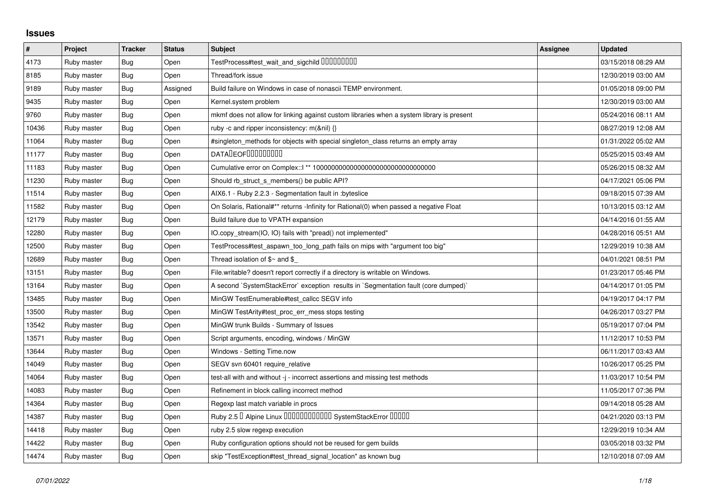## **Issues**

| $\pmb{\#}$ | Project     | <b>Tracker</b> | <b>Status</b> | <b>Subject</b>                                                                            | Assignee | <b>Updated</b>      |
|------------|-------------|----------------|---------------|-------------------------------------------------------------------------------------------|----------|---------------------|
| 4173       | Ruby master | <b>Bug</b>     | Open          |                                                                                           |          | 03/15/2018 08:29 AM |
| 8185       | Ruby master | Bug            | Open          | Thread/fork issue                                                                         |          | 12/30/2019 03:00 AM |
| 9189       | Ruby master | Bug            | Assigned      | Build failure on Windows in case of nonascii TEMP environment.                            |          | 01/05/2018 09:00 PM |
| 9435       | Ruby master | <b>Bug</b>     | Open          | Kernel.system problem                                                                     |          | 12/30/2019 03:00 AM |
| 9760       | Ruby master | Bug            | Open          | mkmf does not allow for linking against custom libraries when a system library is present |          | 05/24/2016 08:11 AM |
| 10436      | Ruby master | <b>Bug</b>     | Open          | ruby -c and ripper inconsistency: m(&nil) {}                                              |          | 08/27/2019 12:08 AM |
| 11064      | Ruby master | Bug            | Open          | #singleton methods for objects with special singleton class returns an empty array        |          | 01/31/2022 05:02 AM |
| 11177      | Ruby master | Bug            | Open          | <b>DATALEOFILILILILILI</b>                                                                |          | 05/25/2015 03:49 AM |
| 11183      | Ruby master | Bug            | Open          |                                                                                           |          | 05/26/2015 08:32 AM |
| 11230      | Ruby master | Bug            | Open          | Should rb_struct_s_members() be public API?                                               |          | 04/17/2021 05:06 PM |
| 11514      | Ruby master | <b>Bug</b>     | Open          | AIX6.1 - Ruby 2.2.3 - Segmentation fault in :byteslice                                    |          | 09/18/2015 07:39 AM |
| 11582      | Ruby master | Bug            | Open          | On Solaris, Rational#** returns -Infinity for Rational(0) when passed a negative Float    |          | 10/13/2015 03:12 AM |
| 12179      | Ruby master | Bug            | Open          | Build failure due to VPATH expansion                                                      |          | 04/14/2016 01:55 AM |
| 12280      | Ruby master | Bug            | Open          | IO.copy_stream(IO, IO) fails with "pread() not implemented"                               |          | 04/28/2016 05:51 AM |
| 12500      | Ruby master | <b>Bug</b>     | Open          | TestProcess#test_aspawn_too_long_path fails on mips with "argument too big"               |          | 12/29/2019 10:38 AM |
| 12689      | Ruby master | Bug            | Open          | Thread isolation of $$~$ and \$                                                           |          | 04/01/2021 08:51 PM |
| 13151      | Ruby master | Bug            | Open          | File writable? doesn't report correctly if a directory is writable on Windows.            |          | 01/23/2017 05:46 PM |
| 13164      | Ruby master | <b>Bug</b>     | Open          | A second `SystemStackError` exception results in `Segmentation fault (core dumped)`       |          | 04/14/2017 01:05 PM |
| 13485      | Ruby master | Bug            | Open          | MinGW TestEnumerable#test callcc SEGV info                                                |          | 04/19/2017 04:17 PM |
| 13500      | Ruby master | Bug            | Open          | MinGW TestArity#test proc err mess stops testing                                          |          | 04/26/2017 03:27 PM |
| 13542      | Ruby master | <b>Bug</b>     | Open          | MinGW trunk Builds - Summary of Issues                                                    |          | 05/19/2017 07:04 PM |
| 13571      | Ruby master | Bug            | Open          | Script arguments, encoding, windows / MinGW                                               |          | 11/12/2017 10:53 PM |
| 13644      | Ruby master | Bug            | Open          | Windows - Setting Time.now                                                                |          | 06/11/2017 03:43 AM |
| 14049      | Ruby master | Bug            | Open          | SEGV svn 60401 require relative                                                           |          | 10/26/2017 05:25 PM |
| 14064      | Ruby master | Bug            | Open          | test-all with and without -j - incorrect assertions and missing test methods              |          | 11/03/2017 10:54 PM |
| 14083      | Ruby master | Bug            | Open          | Refinement in block calling incorrect method                                              |          | 11/05/2017 07:36 PM |
| 14364      | Ruby master | <b>Bug</b>     | Open          | Regexp last match variable in procs                                                       |          | 09/14/2018 05:28 AM |
| 14387      | Ruby master | Bug            | Open          | Ruby 2.5 <sup>D</sup> Alpine Linux 000000000000 SystemStackError 00000                    |          | 04/21/2020 03:13 PM |
| 14418      | Ruby master | <b>Bug</b>     | Open          | ruby 2.5 slow regexp execution                                                            |          | 12/29/2019 10:34 AM |
| 14422      | Ruby master | <b>Bug</b>     | Open          | Ruby configuration options should not be reused for gem builds                            |          | 03/05/2018 03:32 PM |
| 14474      | Ruby master | <b>Bug</b>     | Open          | skip "TestException#test_thread_signal_location" as known bug                             |          | 12/10/2018 07:09 AM |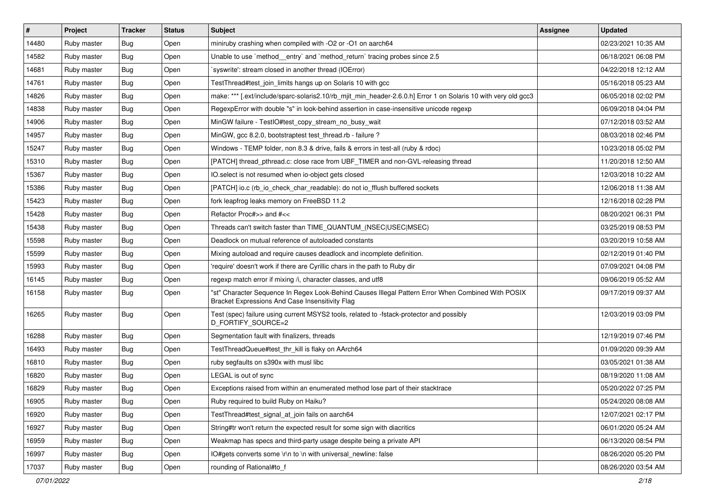| $\vert$ # | Project     | <b>Tracker</b> | <b>Status</b> | <b>Subject</b>                                                                                                                                        | <b>Assignee</b> | <b>Updated</b>      |
|-----------|-------------|----------------|---------------|-------------------------------------------------------------------------------------------------------------------------------------------------------|-----------------|---------------------|
| 14480     | Ruby master | Bug            | Open          | miniruby crashing when compiled with -O2 or -O1 on aarch64                                                                                            |                 | 02/23/2021 10:35 AM |
| 14582     | Ruby master | <b>Bug</b>     | Open          | Unable to use `method_entry` and `method_return` tracing probes since 2.5                                                                             |                 | 06/18/2021 06:08 PM |
| 14681     | Ruby master | Bug            | Open          | syswrite': stream closed in another thread (IOError)                                                                                                  |                 | 04/22/2018 12:12 AM |
| 14761     | Ruby master | <b>Bug</b>     | Open          | TestThread#test_join_limits hangs up on Solaris 10 with gcc                                                                                           |                 | 05/16/2018 05:23 AM |
| 14826     | Ruby master | Bug            | Open          | make: *** [.ext/include/sparc-solaris2.10/rb_mjit_min_header-2.6.0.h] Error 1 on Solaris 10 with very old gcc3                                        |                 | 06/05/2018 02:02 PM |
| 14838     | Ruby master | <b>Bug</b>     | Open          | RegexpError with double "s" in look-behind assertion in case-insensitive unicode regexp                                                               |                 | 06/09/2018 04:04 PM |
| 14906     | Ruby master | Bug            | Open          | MinGW failure - TestIO#test_copy_stream_no_busy_wait                                                                                                  |                 | 07/12/2018 03:52 AM |
| 14957     | Ruby master | <b>Bug</b>     | Open          | MinGW, gcc 8.2.0, bootstraptest test_thread.rb - failure ?                                                                                            |                 | 08/03/2018 02:46 PM |
| 15247     | Ruby master | <b>Bug</b>     | Open          | Windows - TEMP folder, non 8.3 & drive, fails & errors in test-all (ruby & rdoc)                                                                      |                 | 10/23/2018 05:02 PM |
| 15310     | Ruby master | <b>Bug</b>     | Open          | [PATCH] thread_pthread.c: close race from UBF_TIMER and non-GVL-releasing thread                                                                      |                 | 11/20/2018 12:50 AM |
| 15367     | Ruby master | <b>Bug</b>     | Open          | IO.select is not resumed when io-object gets closed                                                                                                   |                 | 12/03/2018 10:22 AM |
| 15386     | Ruby master | Bug            | Open          | [PATCH] io.c (rb_io_check_char_readable): do not io_fflush buffered sockets                                                                           |                 | 12/06/2018 11:38 AM |
| 15423     | Ruby master | <b>Bug</b>     | Open          | fork leapfrog leaks memory on FreeBSD 11.2                                                                                                            |                 | 12/16/2018 02:28 PM |
| 15428     | Ruby master | <b>Bug</b>     | Open          | Refactor Proc#>> and #<<                                                                                                                              |                 | 08/20/2021 06:31 PM |
| 15438     | Ruby master | <b>Bug</b>     | Open          | Threads can't switch faster than TIME_QUANTUM_(NSEC USEC MSEC)                                                                                        |                 | 03/25/2019 08:53 PM |
| 15598     | Ruby master | <b>Bug</b>     | Open          | Deadlock on mutual reference of autoloaded constants                                                                                                  |                 | 03/20/2019 10:58 AM |
| 15599     | Ruby master | <b>Bug</b>     | Open          | Mixing autoload and require causes deadlock and incomplete definition.                                                                                |                 | 02/12/2019 01:40 PM |
| 15993     | Ruby master | Bug            | Open          | 'require' doesn't work if there are Cyrillic chars in the path to Ruby dir                                                                            |                 | 07/09/2021 04:08 PM |
| 16145     | Ruby master | <b>Bug</b>     | Open          | regexp match error if mixing /i, character classes, and utf8                                                                                          |                 | 09/06/2019 05:52 AM |
| 16158     | Ruby master | Bug            | Open          | "st" Character Sequence In Regex Look-Behind Causes Illegal Pattern Error When Combined With POSIX<br>Bracket Expressions And Case Insensitivity Flag |                 | 09/17/2019 09:37 AM |
| 16265     | Ruby master | Bug            | Open          | Test (spec) failure using current MSYS2 tools, related to -fstack-protector and possibly<br>D_FORTIFY_SOURCE=2                                        |                 | 12/03/2019 03:09 PM |
| 16288     | Ruby master | Bug            | Open          | Segmentation fault with finalizers, threads                                                                                                           |                 | 12/19/2019 07:46 PM |
| 16493     | Ruby master | <b>Bug</b>     | Open          | TestThreadQueue#test_thr_kill is flaky on AArch64                                                                                                     |                 | 01/09/2020 09:39 AM |
| 16810     | Ruby master | Bug            | Open          | ruby segfaults on s390x with musl libc                                                                                                                |                 | 03/05/2021 01:38 AM |
| 16820     | Ruby master | <b>Bug</b>     | Open          | LEGAL is out of sync                                                                                                                                  |                 | 08/19/2020 11:08 AM |
| 16829     | Ruby master | <b>Bug</b>     | Open          | Exceptions raised from within an enumerated method lose part of their stacktrace                                                                      |                 | 05/20/2022 07:25 PM |
| 16905     | Ruby master | <b>Bug</b>     | Open          | Ruby required to build Ruby on Haiku?                                                                                                                 |                 | 05/24/2020 08:08 AM |
| 16920     | Ruby master | <b>Bug</b>     | Open          | TestThread#test_signal_at_join fails on aarch64                                                                                                       |                 | 12/07/2021 02:17 PM |
| 16927     | Ruby master | <b>Bug</b>     | Open          | String#tr won't return the expected result for some sign with diacritics                                                                              |                 | 06/01/2020 05:24 AM |
| 16959     | Ruby master | <b>Bug</b>     | Open          | Weakmap has specs and third-party usage despite being a private API                                                                                   |                 | 06/13/2020 08:54 PM |
| 16997     | Ruby master | <b>Bug</b>     | Open          | IO#gets converts some \r\n to \n with universal newline: false                                                                                        |                 | 08/26/2020 05:20 PM |
| 17037     | Ruby master | Bug            | Open          | rounding of Rational#to_f                                                                                                                             |                 | 08/26/2020 03:54 AM |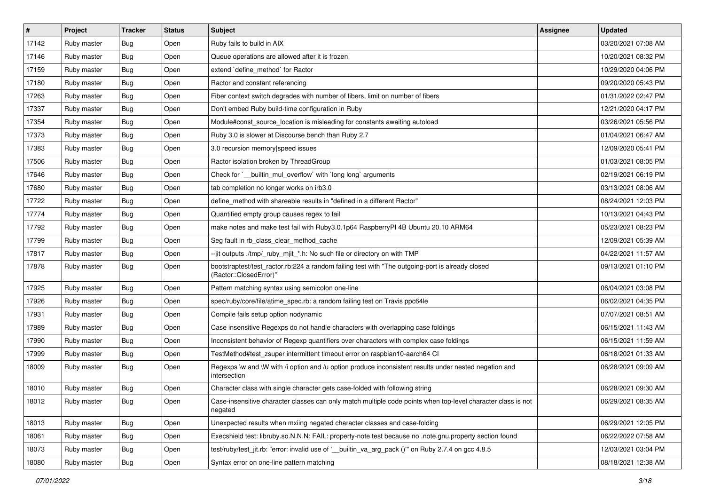| $\vert$ # | Project     | <b>Tracker</b> | <b>Status</b> | Subject                                                                                                                    | <b>Assignee</b> | <b>Updated</b>      |
|-----------|-------------|----------------|---------------|----------------------------------------------------------------------------------------------------------------------------|-----------------|---------------------|
| 17142     | Ruby master | <b>Bug</b>     | Open          | Ruby fails to build in AIX                                                                                                 |                 | 03/20/2021 07:08 AM |
| 17146     | Ruby master | <b>Bug</b>     | Open          | Queue operations are allowed after it is frozen                                                                            |                 | 10/20/2021 08:32 PM |
| 17159     | Ruby master | <b>Bug</b>     | Open          | extend `define_method` for Ractor                                                                                          |                 | 10/29/2020 04:06 PM |
| 17180     | Ruby master | <b>Bug</b>     | Open          | Ractor and constant referencing                                                                                            |                 | 09/20/2020 05:43 PM |
| 17263     | Ruby master | Bug            | Open          | Fiber context switch degrades with number of fibers, limit on number of fibers                                             |                 | 01/31/2022 02:47 PM |
| 17337     | Ruby master | Bug            | Open          | Don't embed Ruby build-time configuration in Ruby                                                                          |                 | 12/21/2020 04:17 PM |
| 17354     | Ruby master | Bug            | Open          | Module#const_source_location is misleading for constants awaiting autoload                                                 |                 | 03/26/2021 05:56 PM |
| 17373     | Ruby master | <b>Bug</b>     | Open          | Ruby 3.0 is slower at Discourse bench than Ruby 2.7                                                                        |                 | 01/04/2021 06:47 AM |
| 17383     | Ruby master | <b>Bug</b>     | Open          | 3.0 recursion memory speed issues                                                                                          |                 | 12/09/2020 05:41 PM |
| 17506     | Ruby master | <b>Bug</b>     | Open          | Ractor isolation broken by ThreadGroup                                                                                     |                 | 01/03/2021 08:05 PM |
| 17646     | Ruby master | <b>Bug</b>     | Open          | Check for `_builtin_mul_overflow` with `long long` arguments                                                               |                 | 02/19/2021 06:19 PM |
| 17680     | Ruby master | <b>Bug</b>     | Open          | tab completion no longer works on irb3.0                                                                                   |                 | 03/13/2021 08:06 AM |
| 17722     | Ruby master | <b>Bug</b>     | Open          | define_method with shareable results in "defined in a different Ractor"                                                    |                 | 08/24/2021 12:03 PM |
| 17774     | Ruby master | <b>Bug</b>     | Open          | Quantified empty group causes regex to fail                                                                                |                 | 10/13/2021 04:43 PM |
| 17792     | Ruby master | Bug            | Open          | make notes and make test fail with Ruby3.0.1p64 RaspberryPI 4B Ubuntu 20.10 ARM64                                          |                 | 05/23/2021 08:23 PM |
| 17799     | Ruby master | <b>Bug</b>     | Open          | Seg fault in rb_class_clear_method_cache                                                                                   |                 | 12/09/2021 05:39 AM |
| 17817     | Ruby master | <b>Bug</b>     | Open          | --jit outputs ./tmp/_ruby_mjit_*.h: No such file or directory on with TMP                                                  |                 | 04/22/2021 11:57 AM |
| 17878     | Ruby master | Bug            | Open          | bootstraptest/test_ractor.rb:224 a random failing test with "The outgoing-port is already closed<br>(Ractor::ClosedError)" |                 | 09/13/2021 01:10 PM |
| 17925     | Ruby master | <b>Bug</b>     | Open          | Pattern matching syntax using semicolon one-line                                                                           |                 | 06/04/2021 03:08 PM |
| 17926     | Ruby master | Bug            | Open          | spec/ruby/core/file/atime_spec.rb: a random failing test on Travis ppc64le                                                 |                 | 06/02/2021 04:35 PM |
| 17931     | Ruby master | Bug            | Open          | Compile fails setup option nodynamic                                                                                       |                 | 07/07/2021 08:51 AM |
| 17989     | Ruby master | <b>Bug</b>     | Open          | Case insensitive Regexps do not handle characters with overlapping case foldings                                           |                 | 06/15/2021 11:43 AM |
| 17990     | Ruby master | <b>Bug</b>     | Open          | Inconsistent behavior of Regexp quantifiers over characters with complex case foldings                                     |                 | 06/15/2021 11:59 AM |
| 17999     | Ruby master | <b>Bug</b>     | Open          | TestMethod#test_zsuper intermittent timeout error on raspbian10-aarch64 Cl                                                 |                 | 06/18/2021 01:33 AM |
| 18009     | Ruby master | <b>Bug</b>     | Open          | Regexps \w and \W with /i option and /u option produce inconsistent results under nested negation and<br>intersection      |                 | 06/28/2021 09:09 AM |
| 18010     | Ruby master | <b>Bug</b>     | Open          | Character class with single character gets case-folded with following string                                               |                 | 06/28/2021 09:30 AM |
| 18012     | Ruby master | Bug            | Open          | Case-insensitive character classes can only match multiple code points when top-level character class is not<br>negated    |                 | 06/29/2021 08:35 AM |
| 18013     | Ruby master | <b>Bug</b>     | Open          | Unexpected results when mxiing negated character classes and case-folding                                                  |                 | 06/29/2021 12:05 PM |
| 18061     | Ruby master | <b>Bug</b>     | Open          | Execshield test: libruby.so.N.N.N: FAIL: property-note test because no .note.gnu.property section found                    |                 | 06/22/2022 07:58 AM |
| 18073     | Ruby master | <b>Bug</b>     | Open          | test/ruby/test_jit.rb: "error: invalid use of '_builtin_va_arg_pack ()" on Ruby 2.7.4 on gcc 4.8.5                         |                 | 12/03/2021 03:04 PM |
| 18080     | Ruby master | Bug            | Open          | Syntax error on one-line pattern matching                                                                                  |                 | 08/18/2021 12:38 AM |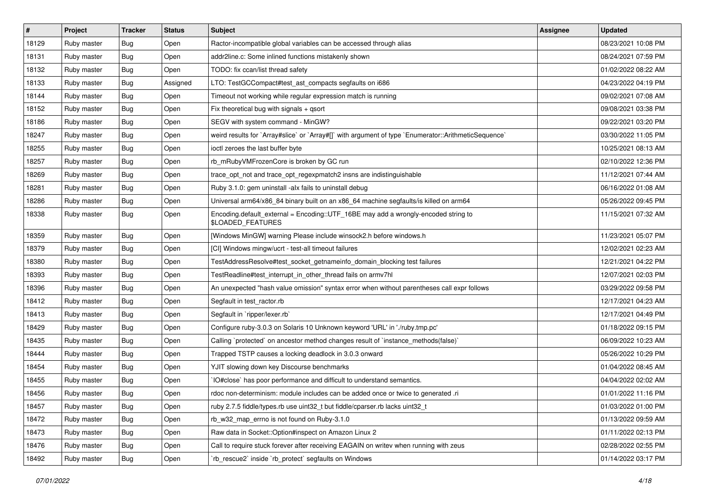| $\sharp$ | Project     | <b>Tracker</b> | <b>Status</b> | <b>Subject</b>                                                                                          | <b>Assignee</b> | <b>Updated</b>      |
|----------|-------------|----------------|---------------|---------------------------------------------------------------------------------------------------------|-----------------|---------------------|
| 18129    | Ruby master | Bug            | Open          | Ractor-incompatible global variables can be accessed through alias                                      |                 | 08/23/2021 10:08 PM |
| 18131    | Ruby master | <b>Bug</b>     | Open          | addr2line.c: Some inlined functions mistakenly shown                                                    |                 | 08/24/2021 07:59 PM |
| 18132    | Ruby master | <b>Bug</b>     | Open          | TODO: fix ccan/list thread safety                                                                       |                 | 01/02/2022 08:22 AM |
| 18133    | Ruby master | Bug            | Assigned      | LTO: TestGCCompact#test_ast_compacts segfaults on i686                                                  |                 | 04/23/2022 04:19 PM |
| 18144    | Ruby master | Bug            | Open          | Timeout not working while regular expression match is running                                           |                 | 09/02/2021 07:08 AM |
| 18152    | Ruby master | <b>Bug</b>     | Open          | Fix theoretical bug with signals $+$ qsort                                                              |                 | 09/08/2021 03:38 PM |
| 18186    | Ruby master | <b>Bug</b>     | Open          | SEGV with system command - MinGW?                                                                       |                 | 09/22/2021 03:20 PM |
| 18247    | Ruby master | <b>Bug</b>     | Open          | weird results for `Array#slice` or `Array#[]` with argument of type `Enumerator::ArithmeticSequence`    |                 | 03/30/2022 11:05 PM |
| 18255    | Ruby master | <b>Bug</b>     | Open          | ioctl zeroes the last buffer byte                                                                       |                 | 10/25/2021 08:13 AM |
| 18257    | Ruby master | Bug            | Open          | rb_mRubyVMFrozenCore is broken by GC run                                                                |                 | 02/10/2022 12:36 PM |
| 18269    | Ruby master | <b>Bug</b>     | Open          | trace_opt_not and trace_opt_regexpmatch2 insns are indistinguishable                                    |                 | 11/12/2021 07:44 AM |
| 18281    | Ruby master | <b>Bug</b>     | Open          | Ruby 3.1.0: gem uninstall -alx fails to uninstall debug                                                 |                 | 06/16/2022 01:08 AM |
| 18286    | Ruby master | <b>Bug</b>     | Open          | Universal arm64/x86_84 binary built on an x86_64 machine segfaults/is killed on arm64                   |                 | 05/26/2022 09:45 PM |
| 18338    | Ruby master | <b>Bug</b>     | Open          | Encoding.default_external = Encoding::UTF_16BE may add a wrongly-encoded string to<br>\$LOADED_FEATURES |                 | 11/15/2021 07:32 AM |
| 18359    | Ruby master | <b>Bug</b>     | Open          | [Windows MinGW] warning Please include winsock2.h before windows.h                                      |                 | 11/23/2021 05:07 PM |
| 18379    | Ruby master | <b>Bug</b>     | Open          | [CI] Windows mingw/ucrt - test-all timeout failures                                                     |                 | 12/02/2021 02:23 AM |
| 18380    | Ruby master | Bug            | Open          | TestAddressResolve#test_socket_getnameinfo_domain_blocking test failures                                |                 | 12/21/2021 04:22 PM |
| 18393    | Ruby master | <b>Bug</b>     | Open          | TestReadline#test_interrupt_in_other_thread fails on armv7hl                                            |                 | 12/07/2021 02:03 PM |
| 18396    | Ruby master | <b>Bug</b>     | Open          | An unexpected "hash value omission" syntax error when without parentheses call expr follows             |                 | 03/29/2022 09:58 PM |
| 18412    | Ruby master | <b>Bug</b>     | Open          | Segfault in test_ractor.rb                                                                              |                 | 12/17/2021 04:23 AM |
| 18413    | Ruby master | <b>Bug</b>     | Open          | Segfault in `ripper/lexer.rb`                                                                           |                 | 12/17/2021 04:49 PM |
| 18429    | Ruby master | <b>Bug</b>     | Open          | Configure ruby-3.0.3 on Solaris 10 Unknown keyword 'URL' in './ruby.tmp.pc'                             |                 | 01/18/2022 09:15 PM |
| 18435    | Ruby master | <b>Bug</b>     | Open          | Calling `protected` on ancestor method changes result of `instance_methods(false)`                      |                 | 06/09/2022 10:23 AM |
| 18444    | Ruby master | <b>Bug</b>     | Open          | Trapped TSTP causes a locking deadlock in 3.0.3 onward                                                  |                 | 05/26/2022 10:29 PM |
| 18454    | Ruby master | <b>Bug</b>     | Open          | YJIT slowing down key Discourse benchmarks                                                              |                 | 01/04/2022 08:45 AM |
| 18455    | Ruby master | <b>Bug</b>     | Open          | IO#close` has poor performance and difficult to understand semantics.                                   |                 | 04/04/2022 02:02 AM |
| 18456    | Ruby master | <b>Bug</b>     | Open          | rdoc non-determinism: module includes can be added once or twice to generated .ri                       |                 | 01/01/2022 11:16 PM |
| 18457    | Ruby master | <b>Bug</b>     | Open          | ruby 2.7.5 fiddle/types.rb use uint32_t but fiddle/cparser.rb lacks uint32_t                            |                 | 01/03/2022 01:00 PM |
| 18472    | Ruby master | <b>Bug</b>     | Open          | rb_w32_map_errno is not found on Ruby-3.1.0                                                             |                 | 01/13/2022 09:59 AM |
| 18473    | Ruby master | Bug            | Open          | Raw data in Socket:: Option#inspect on Amazon Linux 2                                                   |                 | 01/11/2022 02:13 PM |
| 18476    | Ruby master | <b>Bug</b>     | Open          | Call to require stuck forever after receiving EAGAIN on writev when running with zeus                   |                 | 02/28/2022 02:55 PM |
| 18492    | Ruby master | <b>Bug</b>     | Open          | 'rb_rescue2' inside 'rb_protect' segfaults on Windows                                                   |                 | 01/14/2022 03:17 PM |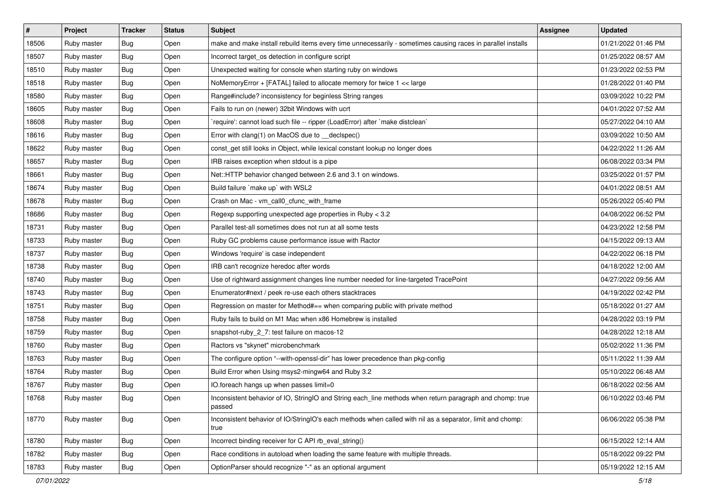| $\vert$ # | Project     | <b>Tracker</b> | <b>Status</b> | Subject                                                                                                            | Assignee | <b>Updated</b>      |
|-----------|-------------|----------------|---------------|--------------------------------------------------------------------------------------------------------------------|----------|---------------------|
| 18506     | Ruby master | <b>Bug</b>     | Open          | make and make install rebuild items every time unnecessarily - sometimes causing races in parallel installs        |          | 01/21/2022 01:46 PM |
| 18507     | Ruby master | <b>Bug</b>     | Open          | Incorrect target_os detection in configure script                                                                  |          | 01/25/2022 08:57 AM |
| 18510     | Ruby master | <b>Bug</b>     | Open          | Unexpected waiting for console when starting ruby on windows                                                       |          | 01/23/2022 02:53 PM |
| 18518     | Ruby master | <b>Bug</b>     | Open          | NoMemoryError + [FATAL] failed to allocate memory for twice 1 << large                                             |          | 01/28/2022 01:40 PM |
| 18580     | Ruby master | Bug            | Open          | Range#include? inconsistency for beginless String ranges                                                           |          | 03/09/2022 10:22 PM |
| 18605     | Ruby master | <b>Bug</b>     | Open          | Fails to run on (newer) 32bit Windows with ucrt                                                                    |          | 04/01/2022 07:52 AM |
| 18608     | Ruby master | Bug            | Open          | 'require': cannot load such file -- ripper (LoadError) after 'make distclean'                                      |          | 05/27/2022 04:10 AM |
| 18616     | Ruby master | <b>Bug</b>     | Open          | Error with clang(1) on MacOS due to __declspec()                                                                   |          | 03/09/2022 10:50 AM |
| 18622     | Ruby master | <b>Bug</b>     | Open          | const_get still looks in Object, while lexical constant lookup no longer does                                      |          | 04/22/2022 11:26 AM |
| 18657     | Ruby master | <b>Bug</b>     | Open          | IRB raises exception when stdout is a pipe                                                                         |          | 06/08/2022 03:34 PM |
| 18661     | Ruby master | <b>Bug</b>     | Open          | Net::HTTP behavior changed between 2.6 and 3.1 on windows.                                                         |          | 03/25/2022 01:57 PM |
| 18674     | Ruby master | Bug            | Open          | Build failure `make up` with WSL2                                                                                  |          | 04/01/2022 08:51 AM |
| 18678     | Ruby master | Bug            | Open          | Crash on Mac - vm_call0_cfunc_with_frame                                                                           |          | 05/26/2022 05:40 PM |
| 18686     | Ruby master | <b>Bug</b>     | Open          | Regexp supporting unexpected age properties in Ruby < 3.2                                                          |          | 04/08/2022 06:52 PM |
| 18731     | Ruby master | <b>Bug</b>     | Open          | Parallel test-all sometimes does not run at all some tests                                                         |          | 04/23/2022 12:58 PM |
| 18733     | Ruby master | <b>Bug</b>     | Open          | Ruby GC problems cause performance issue with Ractor                                                               |          | 04/15/2022 09:13 AM |
| 18737     | Ruby master | <b>Bug</b>     | Open          | Windows 'require' is case independent                                                                              |          | 04/22/2022 06:18 PM |
| 18738     | Ruby master | Bug            | Open          | IRB can't recognize heredoc after words                                                                            |          | 04/18/2022 12:00 AM |
| 18740     | Ruby master | Bug            | Open          | Use of rightward assignment changes line number needed for line-targeted TracePoint                                |          | 04/27/2022 09:56 AM |
| 18743     | Ruby master | <b>Bug</b>     | Open          | Enumerator#next / peek re-use each others stacktraces                                                              |          | 04/19/2022 02:42 PM |
| 18751     | Ruby master | <b>Bug</b>     | Open          | Regression on master for Method#== when comparing public with private method                                       |          | 05/18/2022 01:27 AM |
| 18758     | Ruby master | <b>Bug</b>     | Open          | Ruby fails to build on M1 Mac when x86 Homebrew is installed                                                       |          | 04/28/2022 03:19 PM |
| 18759     | Ruby master | Bug            | Open          | snapshot-ruby_2_7: test failure on macos-12                                                                        |          | 04/28/2022 12:18 AM |
| 18760     | Ruby master | <b>Bug</b>     | Open          | Ractors vs "skynet" microbenchmark                                                                                 |          | 05/02/2022 11:36 PM |
| 18763     | Ruby master | Bug            | Open          | The configure option "--with-openssl-dir" has lower precedence than pkg-config                                     |          | 05/11/2022 11:39 AM |
| 18764     | Ruby master | <b>Bug</b>     | Open          | Build Error when Using msys2-mingw64 and Ruby 3.2                                                                  |          | 05/10/2022 06:48 AM |
| 18767     | Ruby master | <b>Bug</b>     | Open          | IO.foreach hangs up when passes limit=0                                                                            |          | 06/18/2022 02:56 AM |
| 18768     | Ruby master | Bug            | Open          | Inconsistent behavior of IO, StringIO and String each_line methods when return paragraph and chomp: true<br>passed |          | 06/10/2022 03:46 PM |
| 18770     | Ruby master | <b>Bug</b>     | Open          | Inconsistent behavior of IO/StringIO's each methods when called with nil as a separator, limit and chomp:<br>true  |          | 06/06/2022 05:38 PM |
| 18780     | Ruby master | <b>Bug</b>     | Open          | Incorrect binding receiver for C API rb eval string()                                                              |          | 06/15/2022 12:14 AM |
| 18782     | Ruby master | Bug            | Open          | Race conditions in autoload when loading the same feature with multiple threads.                                   |          | 05/18/2022 09:22 PM |
| 18783     | Ruby master | <b>Bug</b>     | Open          | OptionParser should recognize "-" as an optional argument                                                          |          | 05/19/2022 12:15 AM |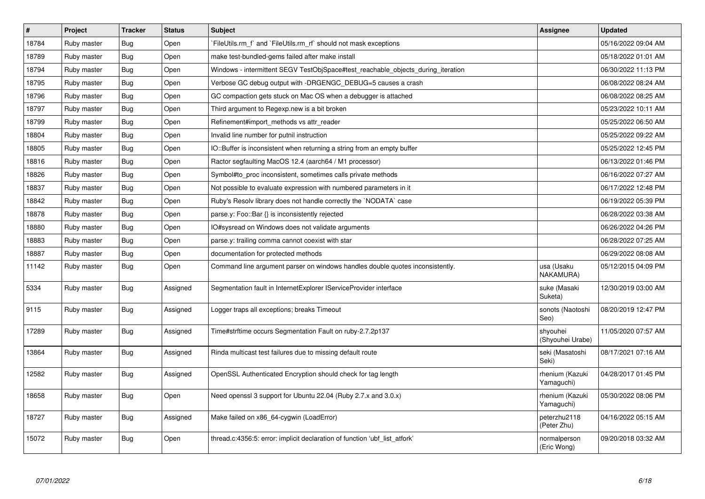| $\sharp$ | Project     | <b>Tracker</b> | <b>Status</b> | <b>Subject</b>                                                                   | Assignee                      | <b>Updated</b>      |
|----------|-------------|----------------|---------------|----------------------------------------------------------------------------------|-------------------------------|---------------------|
| 18784    | Ruby master | Bug            | Open          | FileUtils.rm f and `FileUtils.rm rf should not mask exceptions                   |                               | 05/16/2022 09:04 AM |
| 18789    | Ruby master | <b>Bug</b>     | Open          | make test-bundled-gems failed after make install                                 |                               | 05/18/2022 01:01 AM |
| 18794    | Ruby master | <b>Bug</b>     | Open          | Windows - intermittent SEGV TestObjSpace#test_reachable_objects_during_iteration |                               | 06/30/2022 11:13 PM |
| 18795    | Ruby master | <b>Bug</b>     | Open          | Verbose GC debug output with -DRGENGC_DEBUG=5 causes a crash                     |                               | 06/08/2022 08:24 AM |
| 18796    | Ruby master | <b>Bug</b>     | Open          | GC compaction gets stuck on Mac OS when a debugger is attached                   |                               | 06/08/2022 08:25 AM |
| 18797    | Ruby master | <b>Bug</b>     | Open          | Third argument to Regexp.new is a bit broken                                     |                               | 05/23/2022 10:11 AM |
| 18799    | Ruby master | <b>Bug</b>     | Open          | Refinement#import methods vs attr reader                                         |                               | 05/25/2022 06:50 AM |
| 18804    | Ruby master | <b>Bug</b>     | Open          | Invalid line number for putnil instruction                                       |                               | 05/25/2022 09:22 AM |
| 18805    | Ruby master | <b>Bug</b>     | Open          | IO::Buffer is inconsistent when returning a string from an empty buffer          |                               | 05/25/2022 12:45 PM |
| 18816    | Ruby master | Bug            | Open          | Ractor segfaulting MacOS 12.4 (aarch64 / M1 processor)                           |                               | 06/13/2022 01:46 PM |
| 18826    | Ruby master | <b>Bug</b>     | Open          | Symbol#to proc inconsistent, sometimes calls private methods                     |                               | 06/16/2022 07:27 AM |
| 18837    | Ruby master | <b>Bug</b>     | Open          | Not possible to evaluate expression with numbered parameters in it               |                               | 06/17/2022 12:48 PM |
| 18842    | Ruby master | <b>Bug</b>     | Open          | Ruby's Resolv library does not handle correctly the `NODATA` case                |                               | 06/19/2022 05:39 PM |
| 18878    | Ruby master | Bug            | Open          | parse.y: Foo::Bar {} is inconsistently rejected                                  |                               | 06/28/2022 03:38 AM |
| 18880    | Ruby master | Bug            | Open          | IO#sysread on Windows does not validate arguments                                |                               | 06/26/2022 04:26 PM |
| 18883    | Ruby master | <b>Bug</b>     | Open          | parse.y: trailing comma cannot coexist with star                                 |                               | 06/28/2022 07:25 AM |
| 18887    | Ruby master | Bug            | Open          | documentation for protected methods                                              |                               | 06/29/2022 08:08 AM |
| 11142    | Ruby master | <b>Bug</b>     | Open          | Command line argument parser on windows handles double quotes inconsistently.    | usa (Usaku<br>NAKAMURA)       | 05/12/2015 04:09 PM |
| 5334     | Ruby master | <b>Bug</b>     | Assigned      | Segmentation fault in InternetExplorer IServiceProvider interface                | suke (Masaki<br>Suketa)       | 12/30/2019 03:00 AM |
| 9115     | Ruby master | <b>Bug</b>     | Assigned      | Logger traps all exceptions; breaks Timeout                                      | sonots (Naotoshi<br>Seo)      | 08/20/2019 12:47 PM |
| 17289    | Ruby master | Bug            | Assigned      | Time#strftime occurs Segmentation Fault on ruby-2.7.2p137                        | shyouhei<br>(Shyouhei Urabe)  | 11/05/2020 07:57 AM |
| 13864    | Ruby master | Bug            | Assigned      | Rinda multicast test failures due to missing default route                       | seki (Masatoshi<br>Seki)      | 08/17/2021 07:16 AM |
| 12582    | Ruby master | <b>Bug</b>     | Assigned      | OpenSSL Authenticated Encryption should check for tag length                     | rhenium (Kazuki<br>Yamaguchi) | 04/28/2017 01:45 PM |
| 18658    | Ruby master | Bug            | Open          | Need openssl 3 support for Ubuntu 22.04 (Ruby 2.7.x and 3.0.x)                   | rhenium (Kazuki<br>Yamaguchi) | 05/30/2022 08:06 PM |
| 18727    | Ruby master | Bug            | Assigned      | Make failed on x86_64-cygwin (LoadError)                                         | peterzhu2118<br>(Peter Zhu)   | 04/16/2022 05:15 AM |
| 15072    | Ruby master | <b>Bug</b>     | Open          | thread.c:4356:5: error: implicit declaration of function 'ubf_list_atfork'       | normalperson<br>(Eric Wong)   | 09/20/2018 03:32 AM |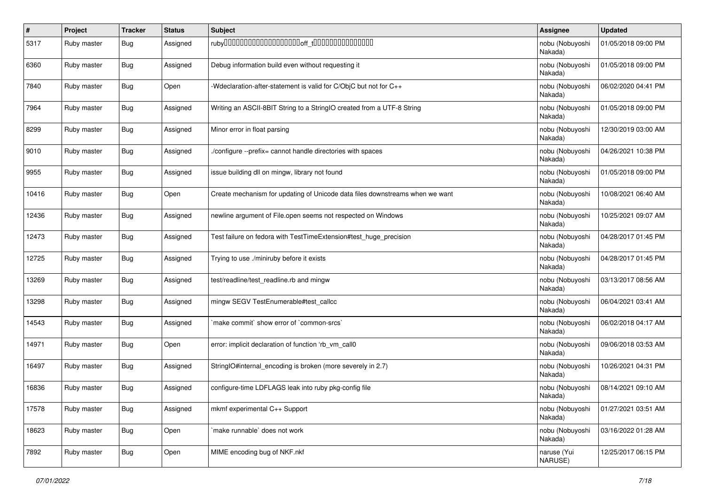| #     | Project     | <b>Tracker</b> | <b>Status</b> | Subject                                                                      | <b>Assignee</b>            | <b>Updated</b>      |
|-------|-------------|----------------|---------------|------------------------------------------------------------------------------|----------------------------|---------------------|
| 5317  | Ruby master | <b>Bug</b>     | Assigned      |                                                                              | nobu (Nobuyoshi<br>Nakada) | 01/05/2018 09:00 PM |
| 6360  | Ruby master | <b>Bug</b>     | Assigned      | Debug information build even without requesting it                           | nobu (Nobuyoshi<br>Nakada) | 01/05/2018 09:00 PM |
| 7840  | Ruby master | <b>Bug</b>     | Open          | Wdeclaration-after-statement is valid for C/ObjC but not for C++             | nobu (Nobuyoshi<br>Nakada) | 06/02/2020 04:41 PM |
| 7964  | Ruby master | <b>Bug</b>     | Assigned      | Writing an ASCII-8BIT String to a StringIO created from a UTF-8 String       | nobu (Nobuyoshi<br>Nakada) | 01/05/2018 09:00 PM |
| 8299  | Ruby master | Bug            | Assigned      | Minor error in float parsing                                                 | nobu (Nobuyoshi<br>Nakada) | 12/30/2019 03:00 AM |
| 9010  | Ruby master | <b>Bug</b>     | Assigned      | /configure --prefix= cannot handle directories with spaces                   | nobu (Nobuyoshi<br>Nakada) | 04/26/2021 10:38 PM |
| 9955  | Ruby master | Bug            | Assigned      | issue building dll on mingw, library not found                               | nobu (Nobuyoshi<br>Nakada) | 01/05/2018 09:00 PM |
| 10416 | Ruby master | <b>Bug</b>     | Open          | Create mechanism for updating of Unicode data files downstreams when we want | nobu (Nobuyoshi<br>Nakada) | 10/08/2021 06:40 AM |
| 12436 | Ruby master | Bug            | Assigned      | newline argument of File.open seems not respected on Windows                 | nobu (Nobuyoshi<br>Nakada) | 10/25/2021 09:07 AM |
| 12473 | Ruby master | Bug            | Assigned      | Test failure on fedora with TestTimeExtension#test_huge_precision            | nobu (Nobuyoshi<br>Nakada) | 04/28/2017 01:45 PM |
| 12725 | Ruby master | Bug            | Assigned      | Trying to use ./miniruby before it exists                                    | nobu (Nobuyoshi<br>Nakada) | 04/28/2017 01:45 PM |
| 13269 | Ruby master | Bug            | Assigned      | test/readline/test_readline.rb and mingw                                     | nobu (Nobuyoshi<br>Nakada) | 03/13/2017 08:56 AM |
| 13298 | Ruby master | <b>Bug</b>     | Assigned      | mingw SEGV TestEnumerable#test_callcc                                        | nobu (Nobuyoshi<br>Nakada) | 06/04/2021 03:41 AM |
| 14543 | Ruby master | Bug            | Assigned      | 'make commit' show error of 'common-srcs'                                    | nobu (Nobuyoshi<br>Nakada) | 06/02/2018 04:17 AM |
| 14971 | Ruby master | <b>Bug</b>     | Open          | error: implicit declaration of function 'rb_vm_call0                         | nobu (Nobuyoshi<br>Nakada) | 09/06/2018 03:53 AM |
| 16497 | Ruby master | Bug            | Assigned      | StringIO#internal_encoding is broken (more severely in 2.7)                  | nobu (Nobuyoshi<br>Nakada) | 10/26/2021 04:31 PM |
| 16836 | Ruby master | <b>Bug</b>     | Assigned      | configure-time LDFLAGS leak into ruby pkg-config file                        | nobu (Nobuyoshi<br>Nakada) | 08/14/2021 09:10 AM |
| 17578 | Ruby master | <b>Bug</b>     | Assigned      | mkmf experimental C++ Support                                                | nobu (Nobuyoshi<br>Nakada) | 01/27/2021 03:51 AM |
| 18623 | Ruby master | Bug            | Open          | make runnable' does not work                                                 | nobu (Nobuyoshi<br>Nakada) | 03/16/2022 01:28 AM |
| 7892  | Ruby master | <b>Bug</b>     | Open          | MIME encoding bug of NKF.nkf                                                 | naruse (Yui<br>NARUSE)     | 12/25/2017 06:15 PM |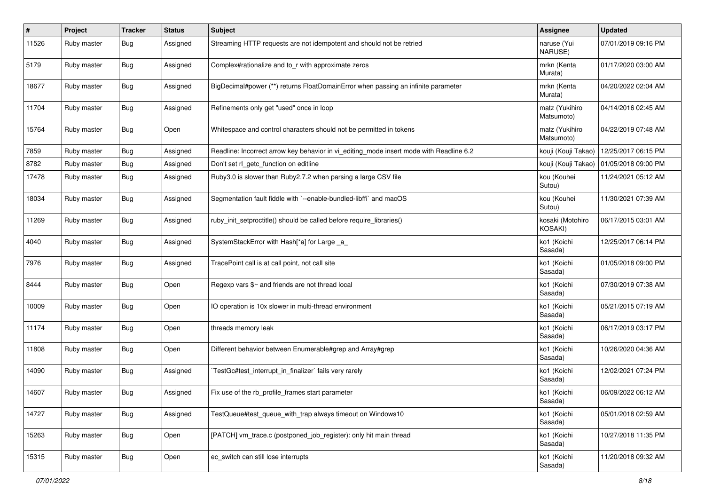| #     | Project     | <b>Tracker</b> | <b>Status</b> | <b>Subject</b>                                                                          | <b>Assignee</b>              | <b>Updated</b>      |
|-------|-------------|----------------|---------------|-----------------------------------------------------------------------------------------|------------------------------|---------------------|
| 11526 | Ruby master | <b>Bug</b>     | Assigned      | Streaming HTTP requests are not idempotent and should not be retried                    | naruse (Yui<br>NARUSE)       | 07/01/2019 09:16 PM |
| 5179  | Ruby master | <b>Bug</b>     | Assigned      | Complex#rationalize and to_r with approximate zeros                                     | mrkn (Kenta<br>Murata)       | 01/17/2020 03:00 AM |
| 18677 | Ruby master | <b>Bug</b>     | Assigned      | BigDecimal#power (**) returns FloatDomainError when passing an infinite parameter       | mrkn (Kenta<br>Murata)       | 04/20/2022 02:04 AM |
| 11704 | Ruby master | Bug            | Assigned      | Refinements only get "used" once in loop                                                | matz (Yukihiro<br>Matsumoto) | 04/14/2016 02:45 AM |
| 15764 | Ruby master | Bug            | Open          | Whitespace and control characters should not be permitted in tokens                     | matz (Yukihiro<br>Matsumoto) | 04/22/2019 07:48 AM |
| 7859  | Ruby master | Bug            | Assigned      | Readline: Incorrect arrow key behavior in vi_editing_mode insert mode with Readline 6.2 | kouji (Kouji Takao)          | 12/25/2017 06:15 PM |
| 8782  | Ruby master | <b>Bug</b>     | Assigned      | Don't set rl_getc_function on editline                                                  | kouji (Kouji Takao)          | 01/05/2018 09:00 PM |
| 17478 | Ruby master | <b>Bug</b>     | Assigned      | Ruby3.0 is slower than Ruby2.7.2 when parsing a large CSV file                          | kou (Kouhei<br>Sutou)        | 11/24/2021 05:12 AM |
| 18034 | Ruby master | <b>Bug</b>     | Assigned      | Segmentation fault fiddle with `--enable-bundled-libffi` and macOS                      | kou (Kouhei<br>Sutou)        | 11/30/2021 07:39 AM |
| 11269 | Ruby master | <b>Bug</b>     | Assigned      | ruby_init_setproctitle() should be called before require_libraries()                    | kosaki (Motohiro<br>KOSAKI)  | 06/17/2015 03:01 AM |
| 4040  | Ruby master | Bug            | Assigned      | SystemStackError with Hash[*a] for Large _a_                                            | ko1 (Koichi<br>Sasada)       | 12/25/2017 06:14 PM |
| 7976  | Ruby master | Bug            | Assigned      | TracePoint call is at call point, not call site                                         | ko1 (Koichi<br>Sasada)       | 01/05/2018 09:00 PM |
| 8444  | Ruby master | <b>Bug</b>     | Open          | Regexp vars \$~ and friends are not thread local                                        | ko1 (Koichi<br>Sasada)       | 07/30/2019 07:38 AM |
| 10009 | Ruby master | Bug            | Open          | IO operation is 10x slower in multi-thread environment                                  | ko1 (Koichi<br>Sasada)       | 05/21/2015 07:19 AM |
| 11174 | Ruby master | Bug            | Open          | threads memory leak                                                                     | ko1 (Koichi<br>Sasada)       | 06/17/2019 03:17 PM |
| 11808 | Ruby master | Bug            | Open          | Different behavior between Enumerable#grep and Array#grep                               | ko1 (Koichi<br>Sasada)       | 10/26/2020 04:36 AM |
| 14090 | Ruby master | Bug            | Assigned      | TestGc#test_interrupt_in_finalizer` fails very rarely                                   | ko1 (Koichi<br>Sasada)       | 12/02/2021 07:24 PM |
| 14607 | Ruby master | <b>Bug</b>     | Assigned      | Fix use of the rb_profile_frames start parameter                                        | ko1 (Koichi<br>Sasada)       | 06/09/2022 06:12 AM |
| 14727 | Ruby master | <b>Bug</b>     | Assigned      | TestQueue#test queue with trap always timeout on Windows10                              | ko1 (Koichi<br>Sasada)       | 05/01/2018 02:59 AM |
| 15263 | Ruby master | Bug            | Open          | [PATCH] vm_trace.c (postponed_job_register): only hit main thread                       | ko1 (Koichi<br>Sasada)       | 10/27/2018 11:35 PM |
| 15315 | Ruby master | Bug            | Open          | ec_switch can still lose interrupts                                                     | ko1 (Koichi<br>Sasada)       | 11/20/2018 09:32 AM |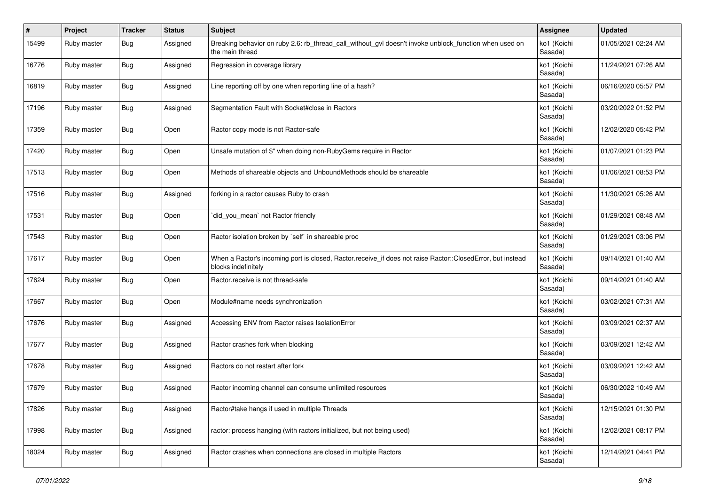| #     | Project     | <b>Tracker</b> | <b>Status</b> | <b>Subject</b>                                                                                                                    | Assignee               | <b>Updated</b>      |
|-------|-------------|----------------|---------------|-----------------------------------------------------------------------------------------------------------------------------------|------------------------|---------------------|
| 15499 | Ruby master | <b>Bug</b>     | Assigned      | Breaking behavior on ruby 2.6: rb_thread_call_without_gvl doesn't invoke unblock_function when used on<br>the main thread         | ko1 (Koichi<br>Sasada) | 01/05/2021 02:24 AM |
| 16776 | Ruby master | <b>Bug</b>     | Assigned      | Regression in coverage library                                                                                                    | ko1 (Koichi<br>Sasada) | 11/24/2021 07:26 AM |
| 16819 | Ruby master | <b>Bug</b>     | Assigned      | Line reporting off by one when reporting line of a hash?                                                                          | ko1 (Koichi<br>Sasada) | 06/16/2020 05:57 PM |
| 17196 | Ruby master | <b>Bug</b>     | Assigned      | Segmentation Fault with Socket#close in Ractors                                                                                   | ko1 (Koichi<br>Sasada) | 03/20/2022 01:52 PM |
| 17359 | Ruby master | <b>Bug</b>     | Open          | Ractor copy mode is not Ractor-safe                                                                                               | ko1 (Koichi<br>Sasada) | 12/02/2020 05:42 PM |
| 17420 | Ruby master | <b>Bug</b>     | Open          | Unsafe mutation of \$" when doing non-RubyGems require in Ractor                                                                  | ko1 (Koichi<br>Sasada) | 01/07/2021 01:23 PM |
| 17513 | Ruby master | Bug            | Open          | Methods of shareable objects and UnboundMethods should be shareable                                                               | ko1 (Koichi<br>Sasada) | 01/06/2021 08:53 PM |
| 17516 | Ruby master | <b>Bug</b>     | Assigned      | forking in a ractor causes Ruby to crash                                                                                          | ko1 (Koichi<br>Sasada) | 11/30/2021 05:26 AM |
| 17531 | Ruby master | Bug            | Open          | did_you_mean` not Ractor friendly                                                                                                 | ko1 (Koichi<br>Sasada) | 01/29/2021 08:48 AM |
| 17543 | Ruby master | <b>Bug</b>     | Open          | Ractor isolation broken by `self` in shareable proc                                                                               | ko1 (Koichi<br>Sasada) | 01/29/2021 03:06 PM |
| 17617 | Ruby master | <b>Bug</b>     | Open          | When a Ractor's incoming port is closed, Ractor.receive_if does not raise Ractor::ClosedError, but instead<br>blocks indefinitely | ko1 (Koichi<br>Sasada) | 09/14/2021 01:40 AM |
| 17624 | Ruby master | <b>Bug</b>     | Open          | Ractor.receive is not thread-safe                                                                                                 | ko1 (Koichi<br>Sasada) | 09/14/2021 01:40 AM |
| 17667 | Ruby master | <b>Bug</b>     | Open          | Module#name needs synchronization                                                                                                 | ko1 (Koichi<br>Sasada) | 03/02/2021 07:31 AM |
| 17676 | Ruby master | <b>Bug</b>     | Assigned      | Accessing ENV from Ractor raises IsolationError                                                                                   | ko1 (Koichi<br>Sasada) | 03/09/2021 02:37 AM |
| 17677 | Ruby master | <b>Bug</b>     | Assigned      | Ractor crashes fork when blocking                                                                                                 | ko1 (Koichi<br>Sasada) | 03/09/2021 12:42 AM |
| 17678 | Ruby master | <b>Bug</b>     | Assigned      | Ractors do not restart after fork                                                                                                 | ko1 (Koichi<br>Sasada) | 03/09/2021 12:42 AM |
| 17679 | Ruby master | <b>Bug</b>     | Assigned      | Ractor incoming channel can consume unlimited resources                                                                           | ko1 (Koichi<br>Sasada) | 06/30/2022 10:49 AM |
| 17826 | Ruby master | Bug            | Assigned      | Ractor#take hangs if used in multiple Threads                                                                                     | ko1 (Koichi<br>Sasada) | 12/15/2021 01:30 PM |
| 17998 | Ruby master | <b>Bug</b>     | Assigned      | ractor: process hanging (with ractors initialized, but not being used)                                                            | ko1 (Koichi<br>Sasada) | 12/02/2021 08:17 PM |
| 18024 | Ruby master | <b>Bug</b>     | Assigned      | Ractor crashes when connections are closed in multiple Ractors                                                                    | ko1 (Koichi<br>Sasada) | 12/14/2021 04:41 PM |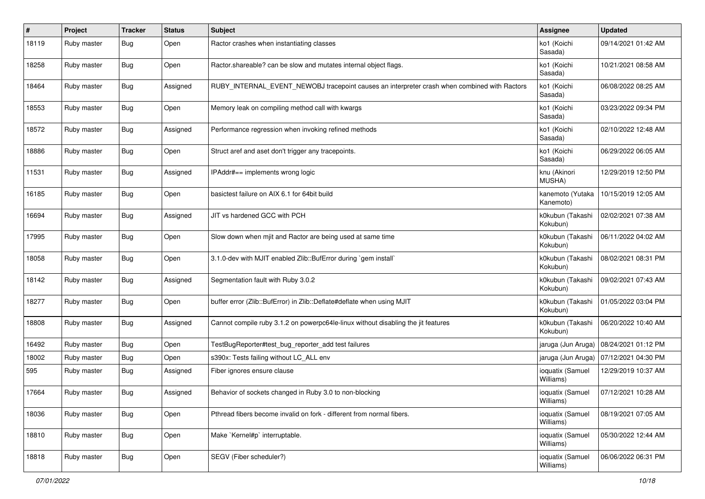| #     | Project     | <b>Tracker</b> | <b>Status</b> | <b>Subject</b>                                                                               | Assignee                      | <b>Updated</b>      |
|-------|-------------|----------------|---------------|----------------------------------------------------------------------------------------------|-------------------------------|---------------------|
| 18119 | Ruby master | <b>Bug</b>     | Open          | Ractor crashes when instantiating classes                                                    | ko1 (Koichi<br>Sasada)        | 09/14/2021 01:42 AM |
| 18258 | Ruby master | <b>Bug</b>     | Open          | Ractor.shareable? can be slow and mutates internal object flags.                             | ko1 (Koichi<br>Sasada)        | 10/21/2021 08:58 AM |
| 18464 | Ruby master | <b>Bug</b>     | Assigned      | RUBY_INTERNAL_EVENT_NEWOBJ tracepoint causes an interpreter crash when combined with Ractors | ko1 (Koichi<br>Sasada)        | 06/08/2022 08:25 AM |
| 18553 | Ruby master | Bug            | Open          | Memory leak on compiling method call with kwargs                                             | ko1 (Koichi<br>Sasada)        | 03/23/2022 09:34 PM |
| 18572 | Ruby master | Bug            | Assigned      | Performance regression when invoking refined methods                                         | ko1 (Koichi<br>Sasada)        | 02/10/2022 12:48 AM |
| 18886 | Ruby master | <b>Bug</b>     | Open          | Struct aref and aset don't trigger any tracepoints.                                          | ko1 (Koichi<br>Sasada)        | 06/29/2022 06:05 AM |
| 11531 | Ruby master | <b>Bug</b>     | Assigned      | IPAddr#== implements wrong logic                                                             | knu (Akinori<br>MUSHA)        | 12/29/2019 12:50 PM |
| 16185 | Ruby master | Bug            | Open          | basictest failure on AIX 6.1 for 64bit build                                                 | kanemoto (Yutaka<br>Kanemoto) | 10/15/2019 12:05 AM |
| 16694 | Ruby master | <b>Bug</b>     | Assigned      | JIT vs hardened GCC with PCH                                                                 | k0kubun (Takashi<br>Kokubun)  | 02/02/2021 07:38 AM |
| 17995 | Ruby master | Bug            | Open          | Slow down when mjit and Ractor are being used at same time                                   | k0kubun (Takashi<br>Kokubun)  | 06/11/2022 04:02 AM |
| 18058 | Ruby master | Bug            | Open          | 3.1.0-dev with MJIT enabled Zlib::BufError during `gem install`                              | k0kubun (Takashi<br>Kokubun)  | 08/02/2021 08:31 PM |
| 18142 | Ruby master | <b>Bug</b>     | Assigned      | Segmentation fault with Ruby 3.0.2                                                           | k0kubun (Takashi<br>Kokubun)  | 09/02/2021 07:43 AM |
| 18277 | Ruby master | <b>Bug</b>     | Open          | buffer error (Zlib::BufError) in Zlib::Deflate#deflate when using MJIT                       | k0kubun (Takashi<br>Kokubun)  | 01/05/2022 03:04 PM |
| 18808 | Ruby master | <b>Bug</b>     | Assigned      | Cannot compile ruby 3.1.2 on powerpc64le-linux without disabling the jit features            | k0kubun (Takashi<br>Kokubun)  | 06/20/2022 10:40 AM |
| 16492 | Ruby master | <b>Bug</b>     | Open          | TestBugReporter#test_bug_reporter_add test failures                                          | jaruga (Jun Aruga)            | 08/24/2021 01:12 PM |
| 18002 | Ruby master | <b>Bug</b>     | Open          | s390x: Tests failing without LC ALL env                                                      | jaruga (Jun Aruga)            | 07/12/2021 04:30 PM |
| 595   | Ruby master | <b>Bug</b>     | Assigned      | Fiber ignores ensure clause                                                                  | ioquatix (Samuel<br>Williams) | 12/29/2019 10:37 AM |
| 17664 | Ruby master | Bug            | Assigned      | Behavior of sockets changed in Ruby 3.0 to non-blocking                                      | ioquatix (Samuel<br>Williams) | 07/12/2021 10:28 AM |
| 18036 | Ruby master | Bug            | Open          | Pthread fibers become invalid on fork - different from normal fibers.                        | ioquatix (Samuel<br>Williams) | 08/19/2021 07:05 AM |
| 18810 | Ruby master | <b>Bug</b>     | Open          | Make `Kernel#p` interruptable.                                                               | ioquatix (Samuel<br>Williams) | 05/30/2022 12:44 AM |
| 18818 | Ruby master | <b>Bug</b>     | Open          | SEGV (Fiber scheduler?)                                                                      | ioquatix (Samuel<br>Williams) | 06/06/2022 06:31 PM |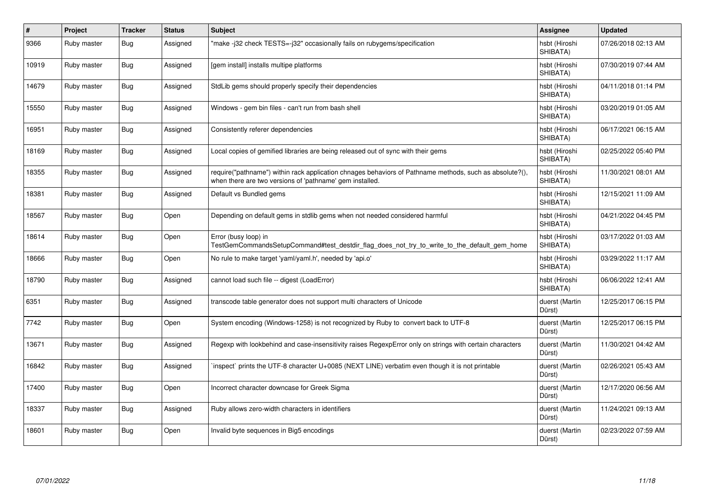| $\#$  | Project     | <b>Tracker</b> | <b>Status</b> | <b>Subject</b>                                                                                                                                                      | Assignee                  | <b>Updated</b>      |
|-------|-------------|----------------|---------------|---------------------------------------------------------------------------------------------------------------------------------------------------------------------|---------------------------|---------------------|
| 9366  | Ruby master | <b>Bug</b>     | Assigned      | 'make-j32 check TESTS=-j32" occasionally fails on rubygems/specification                                                                                            | hsbt (Hiroshi<br>SHIBATA) | 07/26/2018 02:13 AM |
| 10919 | Ruby master | <b>Bug</b>     | Assigned      | [gem install] installs multipe platforms                                                                                                                            | hsbt (Hiroshi<br>SHIBATA) | 07/30/2019 07:44 AM |
| 14679 | Ruby master | <b>Bug</b>     | Assigned      | StdLib gems should properly specify their dependencies                                                                                                              | hsbt (Hiroshi<br>SHIBATA) | 04/11/2018 01:14 PM |
| 15550 | Ruby master | <b>Bug</b>     | Assigned      | Windows - gem bin files - can't run from bash shell                                                                                                                 | hsbt (Hiroshi<br>SHIBATA) | 03/20/2019 01:05 AM |
| 16951 | Ruby master | Bug            | Assigned      | Consistently referer dependencies                                                                                                                                   | hsbt (Hiroshi<br>SHIBATA) | 06/17/2021 06:15 AM |
| 18169 | Ruby master | <b>Bug</b>     | Assigned      | Local copies of gemified libraries are being released out of sync with their gems                                                                                   | hsbt (Hiroshi<br>SHIBATA) | 02/25/2022 05:40 PM |
| 18355 | Ruby master | Bug            | Assigned      | require("pathname") within rack application chnages behaviors of Pathname methods, such as absolute?(),<br>when there are two versions of 'pathname' gem installed. | hsbt (Hiroshi<br>SHIBATA) | 11/30/2021 08:01 AM |
| 18381 | Ruby master | <b>Bug</b>     | Assigned      | Default vs Bundled gems                                                                                                                                             | hsbt (Hiroshi<br>SHIBATA) | 12/15/2021 11:09 AM |
| 18567 | Ruby master | <b>Bug</b>     | Open          | Depending on default gems in stdlib gems when not needed considered harmful                                                                                         | hsbt (Hiroshi<br>SHIBATA) | 04/21/2022 04:45 PM |
| 18614 | Ruby master | Bug            | Open          | Error (busy loop) in<br>TestGemCommandsSetupCommand#test_destdir_flag_does_not_try_to_write_to_the_default_gem_home                                                 | hsbt (Hiroshi<br>SHIBATA) | 03/17/2022 01:03 AM |
| 18666 | Ruby master | <b>Bug</b>     | Open          | No rule to make target 'yaml/yaml.h', needed by 'api.o'                                                                                                             | hsbt (Hiroshi<br>SHIBATA) | 03/29/2022 11:17 AM |
| 18790 | Ruby master | <b>Bug</b>     | Assigned      | cannot load such file -- digest (LoadError)                                                                                                                         | hsbt (Hiroshi<br>SHIBATA) | 06/06/2022 12:41 AM |
| 6351  | Ruby master | <b>Bug</b>     | Assigned      | transcode table generator does not support multi characters of Unicode                                                                                              | duerst (Martin<br>Dürst)  | 12/25/2017 06:15 PM |
| 7742  | Ruby master | Bug            | Open          | System encoding (Windows-1258) is not recognized by Ruby to convert back to UTF-8                                                                                   | duerst (Martin<br>Dürst)  | 12/25/2017 06:15 PM |
| 13671 | Ruby master | <b>Bug</b>     | Assigned      | Regexp with lookbehind and case-insensitivity raises RegexpError only on strings with certain characters                                                            | duerst (Martin<br>Dürst)  | 11/30/2021 04:42 AM |
| 16842 | Ruby master | Bug            | Assigned      | inspect` prints the UTF-8 character U+0085 (NEXT LINE) verbatim even though it is not printable                                                                     | duerst (Martin<br>Dürst)  | 02/26/2021 05:43 AM |
| 17400 | Ruby master | <b>Bug</b>     | Open          | Incorrect character downcase for Greek Sigma                                                                                                                        | duerst (Martin<br>Dürst)  | 12/17/2020 06:56 AM |
| 18337 | Ruby master | <b>Bug</b>     | Assigned      | Ruby allows zero-width characters in identifiers                                                                                                                    | duerst (Martin<br>Dürst)  | 11/24/2021 09:13 AM |
| 18601 | Ruby master | Bug            | Open          | Invalid byte sequences in Big5 encodings                                                                                                                            | duerst (Martin<br>Dürst)  | 02/23/2022 07:59 AM |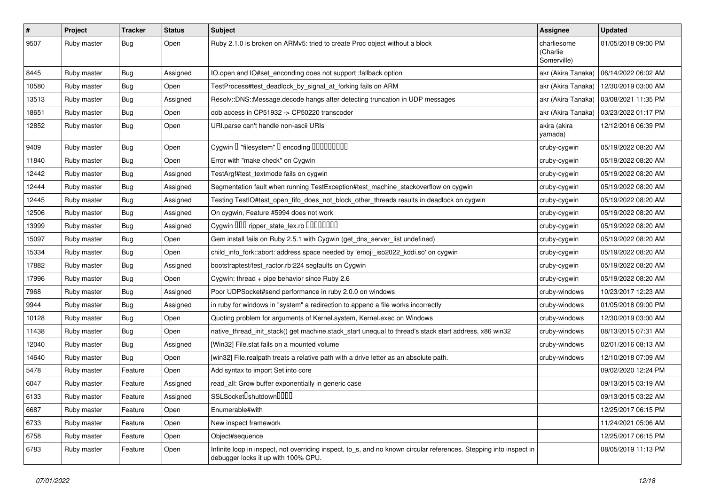| $\vert$ # | Project     | <b>Tracker</b> | <b>Status</b> | <b>Subject</b>                                                                                                                                            | <b>Assignee</b>                        | <b>Updated</b>      |
|-----------|-------------|----------------|---------------|-----------------------------------------------------------------------------------------------------------------------------------------------------------|----------------------------------------|---------------------|
| 9507      | Ruby master | <b>Bug</b>     | Open          | Ruby 2.1.0 is broken on ARMv5: tried to create Proc object without a block                                                                                | charliesome<br>(Charlie<br>Somerville) | 01/05/2018 09:00 PM |
| 8445      | Ruby master | <b>Bug</b>     | Assigned      | IO.open and IO#set_enconding does not support :fallback option                                                                                            | akr (Akira Tanaka)                     | 06/14/2022 06:02 AM |
| 10580     | Ruby master | <b>Bug</b>     | Open          | TestProcess#test_deadlock_by_signal_at_forking fails on ARM                                                                                               | akr (Akira Tanaka)                     | 12/30/2019 03:00 AM |
| 13513     | Ruby master | <b>Bug</b>     | Assigned      | Resolv::DNS::Message.decode hangs after detecting truncation in UDP messages                                                                              | akr (Akira Tanaka)                     | 03/08/2021 11:35 PM |
| 18651     | Ruby master | Bug            | Open          | oob access in CP51932 -> CP50220 transcoder                                                                                                               | akr (Akira Tanaka)                     | 03/23/2022 01:17 PM |
| 12852     | Ruby master | <b>Bug</b>     | Open          | URI.parse can't handle non-ascii URIs                                                                                                                     | akira (akira<br>yamada)                | 12/12/2016 06:39 PM |
| 9409      | Ruby master | <b>Bug</b>     | Open          | Cygwin I "filesystem" I encoding IIIIIIIIIIIII                                                                                                            | cruby-cygwin                           | 05/19/2022 08:20 AM |
| 11840     | Ruby master | <b>Bug</b>     | Open          | Error with "make check" on Cygwin                                                                                                                         | cruby-cygwin                           | 05/19/2022 08:20 AM |
| 12442     | Ruby master | Bug            | Assigned      | TestArgf#test_textmode fails on cygwin                                                                                                                    | cruby-cygwin                           | 05/19/2022 08:20 AM |
| 12444     | Ruby master | <b>Bug</b>     | Assigned      | Segmentation fault when running TestException#test_machine_stackoverflow on cygwin                                                                        | cruby-cygwin                           | 05/19/2022 08:20 AM |
| 12445     | Ruby master | <b>Bug</b>     | Assigned      | Testing TestlO#test_open_fifo_does_not_block_other_threads results in deadlock on cygwin                                                                  | cruby-cygwin                           | 05/19/2022 08:20 AM |
| 12506     | Ruby master | <b>Bug</b>     | Assigned      | On cygwin, Feature #5994 does not work                                                                                                                    | cruby-cygwin                           | 05/19/2022 08:20 AM |
| 13999     | Ruby master | <b>Bug</b>     | Assigned      | Cygwin DDD ripper_state_lex.rb DDDDDDDD                                                                                                                   | cruby-cygwin                           | 05/19/2022 08:20 AM |
| 15097     | Ruby master | Bug            | Open          | Gem install fails on Ruby 2.5.1 with Cygwin (get_dns_server_list undefined)                                                                               | cruby-cygwin                           | 05/19/2022 08:20 AM |
| 15334     | Ruby master | Bug            | Open          | child_info_fork::abort: address space needed by 'emoji_iso2022_kddi.so' on cygwin                                                                         | cruby-cygwin                           | 05/19/2022 08:20 AM |
| 17882     | Ruby master | <b>Bug</b>     | Assigned      | bootstraptest/test_ractor.rb:224 segfaults on Cygwin                                                                                                      | cruby-cygwin                           | 05/19/2022 08:20 AM |
| 17996     | Ruby master | Bug            | Open          | Cygwin: thread + pipe behavior since Ruby 2.6                                                                                                             | cruby-cygwin                           | 05/19/2022 08:20 AM |
| 7968      | Ruby master | <b>Bug</b>     | Assigned      | Poor UDPSocket#send performance in ruby 2.0.0 on windows                                                                                                  | cruby-windows                          | 10/23/2017 12:23 AM |
| 9944      | Ruby master | <b>Bug</b>     | Assigned      | in ruby for windows in "system" a redirection to append a file works incorrectly                                                                          | cruby-windows                          | 01/05/2018 09:00 PM |
| 10128     | Ruby master | Bug            | Open          | Quoting problem for arguments of Kernel.system, Kernel.exec on Windows                                                                                    | cruby-windows                          | 12/30/2019 03:00 AM |
| 11438     | Ruby master | <b>Bug</b>     | Open          | native_thread_init_stack() get machine.stack_start unequal to thread's stack start address, x86 win32                                                     | cruby-windows                          | 08/13/2015 07:31 AM |
| 12040     | Ruby master | Bug            | Assigned      | [Win32] File.stat fails on a mounted volume                                                                                                               | cruby-windows                          | 02/01/2016 08:13 AM |
| 14640     | Ruby master | Bug            | Open          | [win32] File.realpath treats a relative path with a drive letter as an absolute path.                                                                     | cruby-windows                          | 12/10/2018 07:09 AM |
| 5478      | Ruby master | Feature        | Open          | Add syntax to import Set into core                                                                                                                        |                                        | 09/02/2020 12:24 PM |
| 6047      | Ruby master | Feature        | Assigned      | read_all: Grow buffer exponentially in generic case                                                                                                       |                                        | 09/13/2015 03:19 AM |
| 6133      | Ruby master | Feature        | Assigned      | SSLSocket <sup>[</sup> shutdown <sup>[11]</sup>                                                                                                           |                                        | 09/13/2015 03:22 AM |
| 6687      | Ruby master | Feature        | Open          | Enumerable#with                                                                                                                                           |                                        | 12/25/2017 06:15 PM |
| 6733      | Ruby master | Feature        | Open          | New inspect framework                                                                                                                                     |                                        | 11/24/2021 05:06 AM |
| 6758      | Ruby master | Feature        | Open          | Object#sequence                                                                                                                                           |                                        | 12/25/2017 06:15 PM |
| 6783      | Ruby master | Feature        | Open          | Infinite loop in inspect, not overriding inspect, to_s, and no known circular references. Stepping into inspect in<br>debugger locks it up with 100% CPU. |                                        | 08/05/2019 11:13 PM |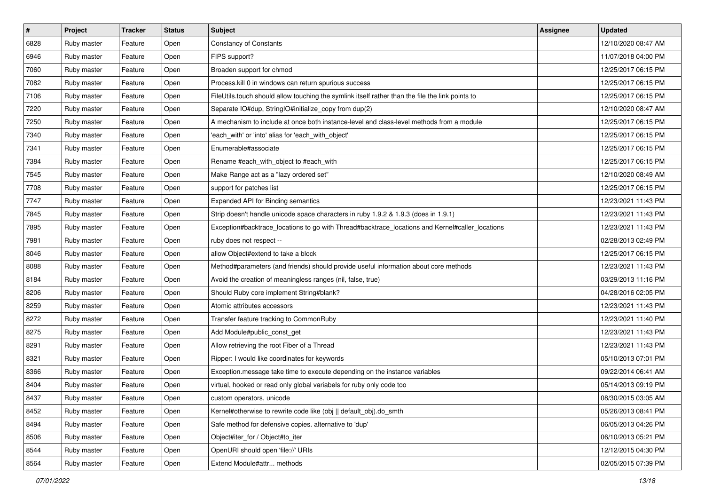| $\pmb{\#}$ | Project     | <b>Tracker</b> | <b>Status</b> | <b>Subject</b>                                                                                   | <b>Assignee</b> | <b>Updated</b>      |
|------------|-------------|----------------|---------------|--------------------------------------------------------------------------------------------------|-----------------|---------------------|
| 6828       | Ruby master | Feature        | Open          | <b>Constancy of Constants</b>                                                                    |                 | 12/10/2020 08:47 AM |
| 6946       | Ruby master | Feature        | Open          | FIPS support?                                                                                    |                 | 11/07/2018 04:00 PM |
| 7060       | Ruby master | Feature        | Open          | Broaden support for chmod                                                                        |                 | 12/25/2017 06:15 PM |
| 7082       | Ruby master | Feature        | Open          | Process.kill 0 in windows can return spurious success                                            |                 | 12/25/2017 06:15 PM |
| 7106       | Ruby master | Feature        | Open          | FileUtils.touch should allow touching the symlink itself rather than the file the link points to |                 | 12/25/2017 06:15 PM |
| 7220       | Ruby master | Feature        | Open          | Separate IO#dup, StringIO#initialize_copy from dup(2)                                            |                 | 12/10/2020 08:47 AM |
| 7250       | Ruby master | Feature        | Open          | A mechanism to include at once both instance-level and class-level methods from a module         |                 | 12/25/2017 06:15 PM |
| 7340       | Ruby master | Feature        | Open          | 'each_with' or 'into' alias for 'each_with_object'                                               |                 | 12/25/2017 06:15 PM |
| 7341       | Ruby master | Feature        | Open          | Enumerable#associate                                                                             |                 | 12/25/2017 06:15 PM |
| 7384       | Ruby master | Feature        | Open          | Rename #each_with_object to #each_with                                                           |                 | 12/25/2017 06:15 PM |
| 7545       | Ruby master | Feature        | Open          | Make Range act as a "lazy ordered set"                                                           |                 | 12/10/2020 08:49 AM |
| 7708       | Ruby master | Feature        | Open          | support for patches list                                                                         |                 | 12/25/2017 06:15 PM |
| 7747       | Ruby master | Feature        | Open          | Expanded API for Binding semantics                                                               |                 | 12/23/2021 11:43 PM |
| 7845       | Ruby master | Feature        | Open          | Strip doesn't handle unicode space characters in ruby 1.9.2 & 1.9.3 (does in 1.9.1)              |                 | 12/23/2021 11:43 PM |
| 7895       | Ruby master | Feature        | Open          | Exception#backtrace_locations to go with Thread#backtrace_locations and Kernel#caller_locations  |                 | 12/23/2021 11:43 PM |
| 7981       | Ruby master | Feature        | Open          | ruby does not respect --                                                                         |                 | 02/28/2013 02:49 PM |
| 8046       | Ruby master | Feature        | Open          | allow Object#extend to take a block                                                              |                 | 12/25/2017 06:15 PM |
| 8088       | Ruby master | Feature        | Open          | Method#parameters (and friends) should provide useful information about core methods             |                 | 12/23/2021 11:43 PM |
| 8184       | Ruby master | Feature        | Open          | Avoid the creation of meaningless ranges (nil, false, true)                                      |                 | 03/29/2013 11:16 PM |
| 8206       | Ruby master | Feature        | Open          | Should Ruby core implement String#blank?                                                         |                 | 04/28/2016 02:05 PM |
| 8259       | Ruby master | Feature        | Open          | Atomic attributes accessors                                                                      |                 | 12/23/2021 11:43 PM |
| 8272       | Ruby master | Feature        | Open          | Transfer feature tracking to CommonRuby                                                          |                 | 12/23/2021 11:40 PM |
| 8275       | Ruby master | Feature        | Open          | Add Module#public_const_get                                                                      |                 | 12/23/2021 11:43 PM |
| 8291       | Ruby master | Feature        | Open          | Allow retrieving the root Fiber of a Thread                                                      |                 | 12/23/2021 11:43 PM |
| 8321       | Ruby master | Feature        | Open          | Ripper: I would like coordinates for keywords                                                    |                 | 05/10/2013 07:01 PM |
| 8366       | Ruby master | Feature        | Open          | Exception.message take time to execute depending on the instance variables                       |                 | 09/22/2014 06:41 AM |
| 8404       | Ruby master | Feature        | Open          | virtual, hooked or read only global variabels for ruby only code too                             |                 | 05/14/2013 09:19 PM |
| 8437       | Ruby master | Feature        | Open          | custom operators, unicode                                                                        |                 | 08/30/2015 03:05 AM |
| 8452       | Ruby master | Feature        | Open          | Kernel#otherwise to rewrite code like (obj    default obj).do smth                               |                 | 05/26/2013 08:41 PM |
| 8494       | Ruby master | Feature        | Open          | Safe method for defensive copies. alternative to 'dup'                                           |                 | 06/05/2013 04:26 PM |
| 8506       | Ruby master | Feature        | Open          | Object#iter_for / Object#to_iter                                                                 |                 | 06/10/2013 05:21 PM |
| 8544       | Ruby master | Feature        | Open          | OpenURI should open 'file://' URIs                                                               |                 | 12/12/2015 04:30 PM |
| 8564       | Ruby master | Feature        | Open          | Extend Module#attr methods                                                                       |                 | 02/05/2015 07:39 PM |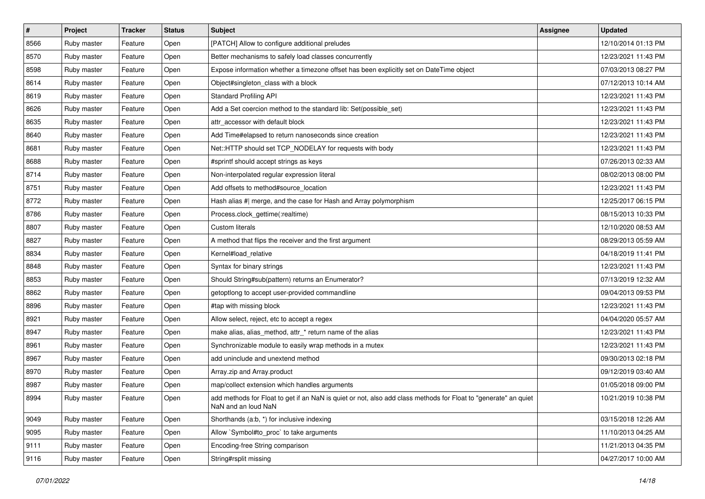| $\sharp$ | Project     | <b>Tracker</b> | <b>Status</b> | Subject                                                                                                                                | <b>Assignee</b> | <b>Updated</b>      |
|----------|-------------|----------------|---------------|----------------------------------------------------------------------------------------------------------------------------------------|-----------------|---------------------|
| 8566     | Ruby master | Feature        | Open          | [PATCH] Allow to configure additional preludes                                                                                         |                 | 12/10/2014 01:13 PM |
| 8570     | Ruby master | Feature        | Open          | Better mechanisms to safely load classes concurrently                                                                                  |                 | 12/23/2021 11:43 PM |
| 8598     | Ruby master | Feature        | Open          | Expose information whether a timezone offset has been explicitly set on DateTime object                                                |                 | 07/03/2013 08:27 PM |
| 8614     | Ruby master | Feature        | Open          | Object#singleton_class with a block                                                                                                    |                 | 07/12/2013 10:14 AM |
| 8619     | Ruby master | Feature        | Open          | <b>Standard Profiling API</b>                                                                                                          |                 | 12/23/2021 11:43 PM |
| 8626     | Ruby master | Feature        | Open          | Add a Set coercion method to the standard lib: Set(possible_set)                                                                       |                 | 12/23/2021 11:43 PM |
| 8635     | Ruby master | Feature        | Open          | attr accessor with default block                                                                                                       |                 | 12/23/2021 11:43 PM |
| 8640     | Ruby master | Feature        | Open          | Add Time#elapsed to return nanoseconds since creation                                                                                  |                 | 12/23/2021 11:43 PM |
| 8681     | Ruby master | Feature        | Open          | Net::HTTP should set TCP_NODELAY for requests with body                                                                                |                 | 12/23/2021 11:43 PM |
| 8688     | Ruby master | Feature        | Open          | #sprintf should accept strings as keys                                                                                                 |                 | 07/26/2013 02:33 AM |
| 8714     | Ruby master | Feature        | Open          | Non-interpolated regular expression literal                                                                                            |                 | 08/02/2013 08:00 PM |
| 8751     | Ruby master | Feature        | Open          | Add offsets to method#source_location                                                                                                  |                 | 12/23/2021 11:43 PM |
| 8772     | Ruby master | Feature        | Open          | Hash alias #  merge, and the case for Hash and Array polymorphism                                                                      |                 | 12/25/2017 06:15 PM |
| 8786     | Ruby master | Feature        | Open          | Process.clock_gettime(:realtime)                                                                                                       |                 | 08/15/2013 10:33 PM |
| 8807     | Ruby master | Feature        | Open          | <b>Custom literals</b>                                                                                                                 |                 | 12/10/2020 08:53 AM |
| 8827     | Ruby master | Feature        | Open          | A method that flips the receiver and the first argument                                                                                |                 | 08/29/2013 05:59 AM |
| 8834     | Ruby master | Feature        | Open          | Kernel#load_relative                                                                                                                   |                 | 04/18/2019 11:41 PM |
| 8848     | Ruby master | Feature        | Open          | Syntax for binary strings                                                                                                              |                 | 12/23/2021 11:43 PM |
| 8853     | Ruby master | Feature        | Open          | Should String#sub(pattern) returns an Enumerator?                                                                                      |                 | 07/13/2019 12:32 AM |
| 8862     | Ruby master | Feature        | Open          | getoptlong to accept user-provided commandline                                                                                         |                 | 09/04/2013 09:53 PM |
| 8896     | Ruby master | Feature        | Open          | #tap with missing block                                                                                                                |                 | 12/23/2021 11:43 PM |
| 8921     | Ruby master | Feature        | Open          | Allow select, reject, etc to accept a regex                                                                                            |                 | 04/04/2020 05:57 AM |
| 8947     | Ruby master | Feature        | Open          | make alias, alias_method, attr_* return name of the alias                                                                              |                 | 12/23/2021 11:43 PM |
| 8961     | Ruby master | Feature        | Open          | Synchronizable module to easily wrap methods in a mutex                                                                                |                 | 12/23/2021 11:43 PM |
| 8967     | Ruby master | Feature        | Open          | add uninclude and unextend method                                                                                                      |                 | 09/30/2013 02:18 PM |
| 8970     | Ruby master | Feature        | Open          | Array.zip and Array.product                                                                                                            |                 | 09/12/2019 03:40 AM |
| 8987     | Ruby master | Feature        | Open          | map/collect extension which handles arguments                                                                                          |                 | 01/05/2018 09:00 PM |
| 8994     | Ruby master | Feature        | Open          | add methods for Float to get if an NaN is quiet or not, also add class methods for Float to "generate" an quiet<br>NaN and an loud NaN |                 | 10/21/2019 10:38 PM |
| 9049     | Ruby master | Feature        | Open          | Shorthands (a:b, *) for inclusive indexing                                                                                             |                 | 03/15/2018 12:26 AM |
| 9095     | Ruby master | Feature        | Open          | Allow `Symbol#to_proc` to take arguments                                                                                               |                 | 11/10/2013 04:25 AM |
| 9111     | Ruby master | Feature        | Open          | Encoding-free String comparison                                                                                                        |                 | 11/21/2013 04:35 PM |
| 9116     | Ruby master | Feature        | Open          | String#rsplit missing                                                                                                                  |                 | 04/27/2017 10:00 AM |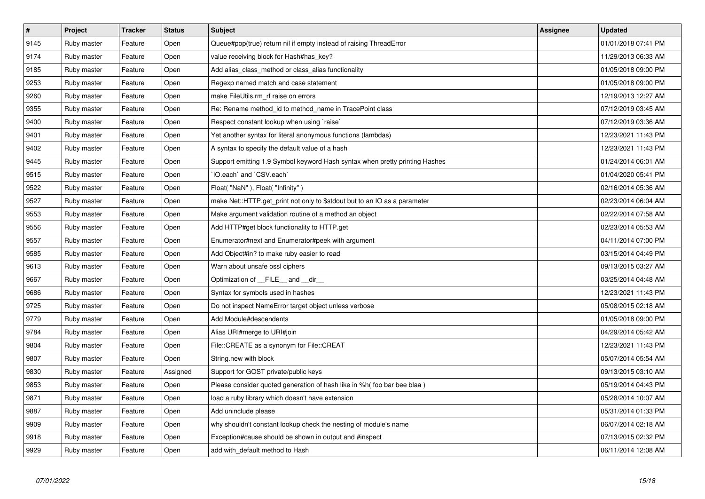| $\vert$ # | Project     | <b>Tracker</b> | <b>Status</b> | <b>Subject</b>                                                              | Assignee | <b>Updated</b>      |
|-----------|-------------|----------------|---------------|-----------------------------------------------------------------------------|----------|---------------------|
| 9145      | Ruby master | Feature        | Open          | Queue#pop(true) return nil if empty instead of raising ThreadError          |          | 01/01/2018 07:41 PM |
| 9174      | Ruby master | Feature        | Open          | value receiving block for Hash#has key?                                     |          | 11/29/2013 06:33 AM |
| 9185      | Ruby master | Feature        | Open          | Add alias_class_method or class_alias functionality                         |          | 01/05/2018 09:00 PM |
| 9253      | Ruby master | Feature        | Open          | Regexp named match and case statement                                       |          | 01/05/2018 09:00 PM |
| 9260      | Ruby master | Feature        | Open          | make FileUtils.rm rf raise on errors                                        |          | 12/19/2013 12:27 AM |
| 9355      | Ruby master | Feature        | Open          | Re: Rename method_id to method_name in TracePoint class                     |          | 07/12/2019 03:45 AM |
| 9400      | Ruby master | Feature        | Open          | Respect constant lookup when using `raise`                                  |          | 07/12/2019 03:36 AM |
| 9401      | Ruby master | Feature        | Open          | Yet another syntax for literal anonymous functions (lambdas)                |          | 12/23/2021 11:43 PM |
| 9402      | Ruby master | Feature        | Open          | A syntax to specify the default value of a hash                             |          | 12/23/2021 11:43 PM |
| 9445      | Ruby master | Feature        | Open          | Support emitting 1.9 Symbol keyword Hash syntax when pretty printing Hashes |          | 01/24/2014 06:01 AM |
| 9515      | Ruby master | Feature        | Open          | IO.each` and `CSV.each`                                                     |          | 01/04/2020 05:41 PM |
| 9522      | Ruby master | Feature        | Open          | Float("NaN"), Float("Infinity")                                             |          | 02/16/2014 05:36 AM |
| 9527      | Ruby master | Feature        | Open          | make Net::HTTP.get print not only to \$stdout but to an IO as a parameter   |          | 02/23/2014 06:04 AM |
| 9553      | Ruby master | Feature        | Open          | Make argument validation routine of a method an object                      |          | 02/22/2014 07:58 AM |
| 9556      | Ruby master | Feature        | Open          | Add HTTP#get block functionality to HTTP.get                                |          | 02/23/2014 05:53 AM |
| 9557      | Ruby master | Feature        | Open          | Enumerator#next and Enumerator#peek with argument                           |          | 04/11/2014 07:00 PM |
| 9585      | Ruby master | Feature        | Open          | Add Object#in? to make ruby easier to read                                  |          | 03/15/2014 04:49 PM |
| 9613      | Ruby master | Feature        | Open          | Warn about unsafe ossl ciphers                                              |          | 09/13/2015 03:27 AM |
| 9667      | Ruby master | Feature        | Open          | Optimization of __FILE__ and __dir__                                        |          | 03/25/2014 04:48 AM |
| 9686      | Ruby master | Feature        | Open          | Syntax for symbols used in hashes                                           |          | 12/23/2021 11:43 PM |
| 9725      | Ruby master | Feature        | Open          | Do not inspect NameError target object unless verbose                       |          | 05/08/2015 02:18 AM |
| 9779      | Ruby master | Feature        | Open          | Add Module#descendents                                                      |          | 01/05/2018 09:00 PM |
| 9784      | Ruby master | Feature        | Open          | Alias URI#merge to URI#join                                                 |          | 04/29/2014 05:42 AM |
| 9804      | Ruby master | Feature        | Open          | File::CREATE as a synonym for File::CREAT                                   |          | 12/23/2021 11:43 PM |
| 9807      | Ruby master | Feature        | Open          | String.new with block                                                       |          | 05/07/2014 05:54 AM |
| 9830      | Ruby master | Feature        | Assigned      | Support for GOST private/public keys                                        |          | 09/13/2015 03:10 AM |
| 9853      | Ruby master | Feature        | Open          | Please consider quoted generation of hash like in %h(foo bar bee blaa)      |          | 05/19/2014 04:43 PM |
| 9871      | Ruby master | Feature        | Open          | load a ruby library which doesn't have extension                            |          | 05/28/2014 10:07 AM |
| 9887      | Ruby master | Feature        | Open          | Add uninclude please                                                        |          | 05/31/2014 01:33 PM |
| 9909      | Ruby master | Feature        | Open          | why shouldn't constant lookup check the nesting of module's name            |          | 06/07/2014 02:18 AM |
| 9918      | Ruby master | Feature        | Open          | Exception#cause should be shown in output and #inspect                      |          | 07/13/2015 02:32 PM |
| 9929      | Ruby master | Feature        | Open          | add with_default method to Hash                                             |          | 06/11/2014 12:08 AM |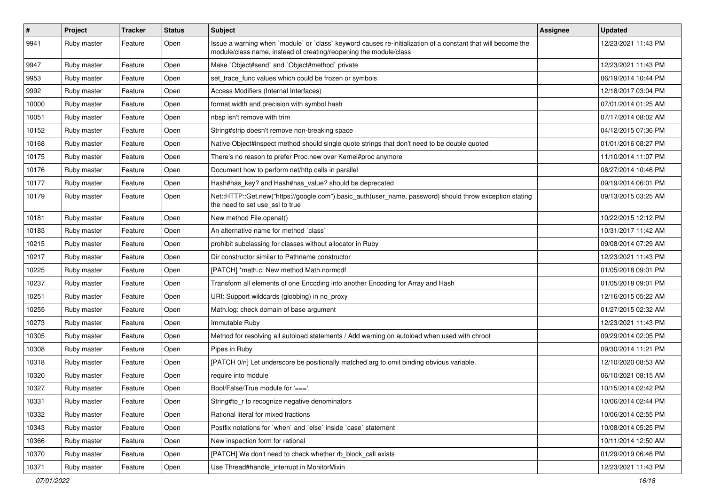| $\sharp$ | Project     | <b>Tracker</b> | <b>Status</b> | Subject                                                                                                                                                                           | Assignee | <b>Updated</b>      |
|----------|-------------|----------------|---------------|-----------------------------------------------------------------------------------------------------------------------------------------------------------------------------------|----------|---------------------|
| 9941     | Ruby master | Feature        | Open          | Issue a warning when `module` or `class` keyword causes re-initialization of a constant that will become the<br>module/class name, instead of creating/reopening the module/class |          | 12/23/2021 11:43 PM |
| 9947     | Ruby master | Feature        | Open          | Make `Object#send` and `Object#method` private                                                                                                                                    |          | 12/23/2021 11:43 PM |
| 9953     | Ruby master | Feature        | Open          | set_trace_func values which could be frozen or symbols                                                                                                                            |          | 06/19/2014 10:44 PM |
| 9992     | Ruby master | Feature        | Open          | Access Modifiers (Internal Interfaces)                                                                                                                                            |          | 12/18/2017 03:04 PM |
| 10000    | Ruby master | Feature        | Open          | format width and precision with symbol hash                                                                                                                                       |          | 07/01/2014 01:25 AM |
| 10051    | Ruby master | Feature        | Open          | nbsp isn't remove with trim                                                                                                                                                       |          | 07/17/2014 08:02 AM |
| 10152    | Ruby master | Feature        | Open          | String#strip doesn't remove non-breaking space                                                                                                                                    |          | 04/12/2015 07:36 PM |
| 10168    | Ruby master | Feature        | Open          | Native Object#inspect method should single quote strings that don't need to be double quoted                                                                                      |          | 01/01/2016 08:27 PM |
| 10175    | Ruby master | Feature        | Open          | There's no reason to prefer Proc.new over Kernel#proc anymore                                                                                                                     |          | 11/10/2014 11:07 PM |
| 10176    | Ruby master | Feature        | Open          | Document how to perform net/http calls in parallel                                                                                                                                |          | 08/27/2014 10:46 PM |
| 10177    | Ruby master | Feature        | Open          | Hash#has_key? and Hash#has_value? should be deprecated                                                                                                                            |          | 09/19/2014 06:01 PM |
| 10179    | Ruby master | Feature        | Open          | Net::HTTP::Get.new("https://google.com").basic_auth(user_name, password) should throw exception stating<br>the need to set use ssl to true                                        |          | 09/13/2015 03:25 AM |
| 10181    | Ruby master | Feature        | Open          | New method File.openat()                                                                                                                                                          |          | 10/22/2015 12:12 PM |
| 10183    | Ruby master | Feature        | Open          | An alternative name for method `class`                                                                                                                                            |          | 10/31/2017 11:42 AM |
| 10215    | Ruby master | Feature        | Open          | prohibit subclassing for classes without allocator in Ruby                                                                                                                        |          | 09/08/2014 07:29 AM |
| 10217    | Ruby master | Feature        | Open          | Dir constructor similar to Pathname constructor                                                                                                                                   |          | 12/23/2021 11:43 PM |
| 10225    | Ruby master | Feature        | Open          | [PATCH] *math.c: New method Math.normcdf                                                                                                                                          |          | 01/05/2018 09:01 PM |
| 10237    | Ruby master | Feature        | Open          | Transform all elements of one Encoding into another Encoding for Array and Hash                                                                                                   |          | 01/05/2018 09:01 PM |
| 10251    | Ruby master | Feature        | Open          | URI: Support wildcards (globbing) in no_proxy                                                                                                                                     |          | 12/16/2015 05:22 AM |
| 10255    | Ruby master | Feature        | Open          | Math.log: check domain of base argument                                                                                                                                           |          | 01/27/2015 02:32 AM |
| 10273    | Ruby master | Feature        | Open          | Immutable Ruby                                                                                                                                                                    |          | 12/23/2021 11:43 PM |
| 10305    | Ruby master | Feature        | Open          | Method for resolving all autoload statements / Add warning on autoload when used with chroot                                                                                      |          | 09/29/2014 02:05 PM |
| 10308    | Ruby master | Feature        | Open          | Pipes in Ruby                                                                                                                                                                     |          | 09/30/2014 11:21 PM |
| 10318    | Ruby master | Feature        | Open          | [PATCH 0/n] Let underscore be positionally matched arg to omit binding obvious variable.                                                                                          |          | 12/10/2020 08:53 AM |
| 10320    | Ruby master | Feature        | Open          | require into module                                                                                                                                                               |          | 06/10/2021 08:15 AM |
| 10327    | Ruby master | Feature        | Open          | Bool/False/True module for '==='                                                                                                                                                  |          | 10/15/2014 02:42 PM |
| 10331    | Ruby master | Feature        | Open          | String#to r to recognize negative denominators                                                                                                                                    |          | 10/06/2014 02:44 PM |
| 10332    | Ruby master | Feature        | Open          | Rational literal for mixed fractions                                                                                                                                              |          | 10/06/2014 02:55 PM |
| 10343    | Ruby master | Feature        | Open          | Postfix notations for 'when' and 'else' inside 'case' statement                                                                                                                   |          | 10/08/2014 05:25 PM |
| 10366    | Ruby master | Feature        | Open          | New inspection form for rational                                                                                                                                                  |          | 10/11/2014 12:50 AM |
| 10370    | Ruby master | Feature        | Open          | [PATCH] We don't need to check whether rb_block_call exists                                                                                                                       |          | 01/29/2019 06:46 PM |
| 10371    | Ruby master | Feature        | Open          | Use Thread#handle_interrupt in MonitorMixin                                                                                                                                       |          | 12/23/2021 11:43 PM |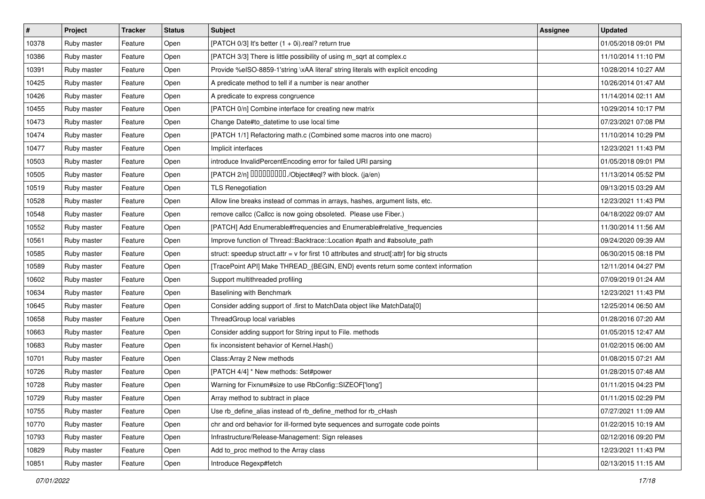| $\vert$ # | Project     | <b>Tracker</b> | <b>Status</b> | Subject                                                                                     | <b>Assignee</b> | <b>Updated</b>      |
|-----------|-------------|----------------|---------------|---------------------------------------------------------------------------------------------|-----------------|---------------------|
| 10378     | Ruby master | Feature        | Open          | [PATCH 0/3] It's better (1 + 0i).real? return true                                          |                 | 01/05/2018 09:01 PM |
| 10386     | Ruby master | Feature        | Open          | [PATCH 3/3] There is little possibility of using m_sqrt at complex.c                        |                 | 11/10/2014 11:10 PM |
| 10391     | Ruby master | Feature        | Open          | Provide %eISO-8859-1'string \xAA literal' string literals with explicit encoding            |                 | 10/28/2014 10:27 AM |
| 10425     | Ruby master | Feature        | Open          | A predicate method to tell if a number is near another                                      |                 | 10/26/2014 01:47 AM |
| 10426     | Ruby master | Feature        | Open          | A predicate to express congruence                                                           |                 | 11/14/2014 02:11 AM |
| 10455     | Ruby master | Feature        | Open          | [PATCH 0/n] Combine interface for creating new matrix                                       |                 | 10/29/2014 10:17 PM |
| 10473     | Ruby master | Feature        | Open          | Change Date#to_datetime to use local time                                                   |                 | 07/23/2021 07:08 PM |
| 10474     | Ruby master | Feature        | Open          | [PATCH 1/1] Refactoring math.c (Combined some macros into one macro)                        |                 | 11/10/2014 10:29 PM |
| 10477     | Ruby master | Feature        | Open          | Implicit interfaces                                                                         |                 | 12/23/2021 11:43 PM |
| 10503     | Ruby master | Feature        | Open          | introduce InvalidPercentEncoding error for failed URI parsing                               |                 | 01/05/2018 09:01 PM |
| 10505     | Ruby master | Feature        | Open          | [PATCH 2/n] DDDDDDDD./Object#eql? with block. (ja/en)                                       |                 | 11/13/2014 05:52 PM |
| 10519     | Ruby master | Feature        | Open          | <b>TLS Renegotiation</b>                                                                    |                 | 09/13/2015 03:29 AM |
| 10528     | Ruby master | Feature        | Open          | Allow line breaks instead of commas in arrays, hashes, argument lists, etc.                 |                 | 12/23/2021 11:43 PM |
| 10548     | Ruby master | Feature        | Open          | remove callcc (Callcc is now going obsoleted. Please use Fiber.)                            |                 | 04/18/2022 09:07 AM |
| 10552     | Ruby master | Feature        | Open          | [PATCH] Add Enumerable#frequencies and Enumerable#relative_frequencies                      |                 | 11/30/2014 11:56 AM |
| 10561     | Ruby master | Feature        | Open          | Improve function of Thread::Backtrace::Location #path and #absolute_path                    |                 | 09/24/2020 09:39 AM |
| 10585     | Ruby master | Feature        | Open          | struct: speedup struct.attr = $v$ for first 10 attributes and struct[:attr] for big structs |                 | 06/30/2015 08:18 PM |
| 10589     | Ruby master | Feature        | Open          | [TracePoint API] Make THREAD_{BEGIN, END} events return some context information            |                 | 12/11/2014 04:27 PM |
| 10602     | Ruby master | Feature        | Open          | Support multithreaded profiling                                                             |                 | 07/09/2019 01:24 AM |
| 10634     | Ruby master | Feature        | Open          | Baselining with Benchmark                                                                   |                 | 12/23/2021 11:43 PM |
| 10645     | Ruby master | Feature        | Open          | Consider adding support of .first to MatchData object like MatchData[0]                     |                 | 12/25/2014 06:50 AM |
| 10658     | Ruby master | Feature        | Open          | ThreadGroup local variables                                                                 |                 | 01/28/2016 07:20 AM |
| 10663     | Ruby master | Feature        | Open          | Consider adding support for String input to File. methods                                   |                 | 01/05/2015 12:47 AM |
| 10683     | Ruby master | Feature        | Open          | fix inconsistent behavior of Kernel. Hash()                                                 |                 | 01/02/2015 06:00 AM |
| 10701     | Ruby master | Feature        | Open          | Class: Array 2 New methods                                                                  |                 | 01/08/2015 07:21 AM |
| 10726     | Ruby master | Feature        | Open          | [PATCH 4/4] * New methods: Set#power                                                        |                 | 01/28/2015 07:48 AM |
| 10728     | Ruby master | Feature        | Open          | Warning for Fixnum#size to use RbConfig::SIZEOF['long']                                     |                 | 01/11/2015 04:23 PM |
| 10729     | Ruby master | Feature        | Open          | Array method to subtract in place                                                           |                 | 01/11/2015 02:29 PM |
| 10755     | Ruby master | Feature        | Open          | Use rb define alias instead of rb define method for rb cHash                                |                 | 07/27/2021 11:09 AM |
| 10770     | Ruby master | Feature        | Open          | chr and ord behavior for ill-formed byte sequences and surrogate code points                |                 | 01/22/2015 10:19 AM |
| 10793     | Ruby master | Feature        | Open          | Infrastructure/Release-Management: Sign releases                                            |                 | 02/12/2016 09:20 PM |
| 10829     | Ruby master | Feature        | Open          | Add to proc method to the Array class                                                       |                 | 12/23/2021 11:43 PM |
| 10851     | Ruby master | Feature        | Open          | Introduce Regexp#fetch                                                                      |                 | 02/13/2015 11:15 AM |